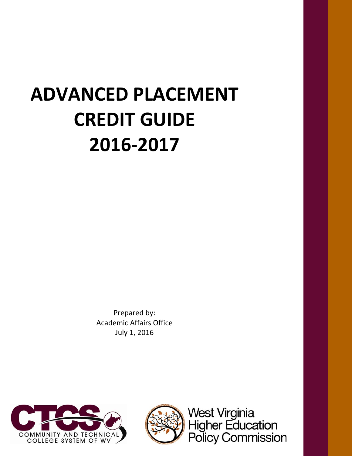# **ADVANCED PLACEMENT CREDIT GUIDE 2016‐2017**

Prepared by: Academic Affairs Office July 1, 2016





West Virginia<br>Higher Education<br>Policy Commission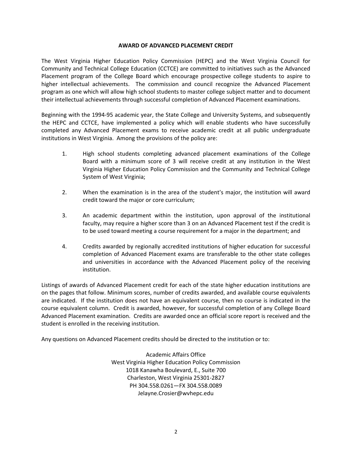#### **AWARD OF ADVANCED PLACEMENT CREDIT**

The West Virginia Higher Education Policy Commission (HEPC) and the West Virginia Council for Community and Technical College Education (CCTCE) are committed to initiatives such as the Advanced Placement program of the College Board which encourage prospective college students to aspire to higher intellectual achievements. The commission and council recognize the Advanced Placement program as one which will allow high school students to master college subject matter and to document their intellectual achievements through successful completion of Advanced Placement examinations.

Beginning with the 1994‐95 academic year, the State College and University Systems, and subsequently the HEPC and CCTCE, have implemented a policy which will enable students who have successfully completed any Advanced Placement exams to receive academic credit at all public undergraduate institutions in West Virginia. Among the provisions of the policy are:

- 1. High school students completing advanced placement examinations of the College Board with a minimum score of 3 will receive credit at any institution in the West Virginia Higher Education Policy Commission and the Community and Technical College System of West Virginia;
- 2. When the examination is in the area of the student's major, the institution will award credit toward the major or core curriculum;
- 3. An academic department within the institution, upon approval of the institutional faculty, may require a higher score than 3 on an Advanced Placement test if the credit is to be used toward meeting a course requirement for a major in the department; and
- 4. Credits awarded by regionally accredited institutions of higher education for successful completion of Advanced Placement exams are transferable to the other state colleges and universities in accordance with the Advanced Placement policy of the receiving institution.

Listings of awards of Advanced Placement credit for each of the state higher education institutions are on the pages that follow. Minimum scores, number of credits awarded, and available course equivalents are indicated. If the institution does not have an equivalent course, then no course is indicated in the course equivalent column. Credit is awarded, however, for successful completion of any College Board Advanced Placement examination. Credits are awarded once an official score report is received and the student is enrolled in the receiving institution.

Any questions on Advanced Placement credits should be directed to the institution or to:

Academic Affairs Office West Virginia Higher Education Policy Commission 1018 Kanawha Boulevard, E., Suite 700 Charleston, West Virginia 25301‐2827 PH 304.558.0261―FX 304.558.0089 Jelayne.Crosier@wvhepc.edu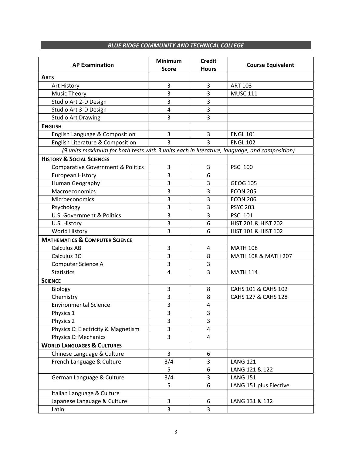#### *BLUE RIDGE COMMUNITY AND TECHNICAL COLLEGE*

| <b>AP Examination</b>                                                                       | <b>Minimum</b><br><b>Score</b> | <b>Credit</b><br><b>Hours</b> | <b>Course Equivalent</b> |
|---------------------------------------------------------------------------------------------|--------------------------------|-------------------------------|--------------------------|
| <b>ARTS</b>                                                                                 |                                |                               |                          |
| Art History                                                                                 | 3                              | $\mathsf 3$                   | <b>ART 103</b>           |
| Music Theory                                                                                | 3                              | 3                             | <b>MUSC 111</b>          |
| Studio Art 2-D Design                                                                       | 3                              | 3                             |                          |
| Studio Art 3-D Design                                                                       | $\overline{4}$                 | 3                             |                          |
| <b>Studio Art Drawing</b>                                                                   | 3                              | 3                             |                          |
| <b>ENGLISH</b>                                                                              |                                |                               |                          |
| English Language & Composition                                                              | 3                              | 3                             | <b>ENGL 101</b>          |
| English Literature & Composition                                                            | 3                              | 3                             | <b>ENGL 102</b>          |
| (9 units maximum for both tests with 3 units each in literature, language, and composition) |                                |                               |                          |
| <b>HISTORY &amp; SOCIAL SCIENCES</b>                                                        |                                |                               |                          |
| <b>Comparative Government &amp; Politics</b>                                                | 3                              | 3                             | <b>PSCI 100</b>          |
| <b>European History</b>                                                                     | 3                              | 6                             |                          |
| Human Geography                                                                             | 3                              | 3                             | <b>GEOG 105</b>          |
| Macroeconomics                                                                              | 3                              | 3                             | <b>ECON 205</b>          |
| Microeconomics                                                                              | 3                              | 3                             | <b>ECON 206</b>          |
| Psychology                                                                                  | 3                              | 3                             | <b>PSYC 203</b>          |
| <b>U.S. Government &amp; Politics</b>                                                       | 3                              | 3                             | <b>PSCI 101</b>          |
| U.S. History                                                                                | 3                              | 6                             | HIST 201 & HIST 202      |
| World History                                                                               | 3                              | 6                             | HIST 101 & HIST 102      |
| <b>MATHEMATICS &amp; COMPUTER SCIENCE</b>                                                   |                                |                               |                          |
| <b>Calculus AB</b>                                                                          | 3                              | $\overline{4}$                | <b>MATH 108</b>          |
| Calculus BC                                                                                 | 3                              | 8                             | MATH 108 & MATH 207      |
| Computer Science A                                                                          | $\overline{3}$                 | 3                             |                          |
| <b>Statistics</b>                                                                           | 4                              | 3                             | <b>MATH 114</b>          |
| <b>SCIENCE</b>                                                                              |                                |                               |                          |
| Biology                                                                                     | 3                              | 8                             | CAHS 101 & CAHS 102      |
| Chemistry                                                                                   | 3                              | 8                             | CAHS 127 & CAHS 128      |
| <b>Environmental Science</b>                                                                | 3                              | $\overline{a}$                |                          |
| Physics 1                                                                                   | 3                              | 3                             |                          |
| Physics 2                                                                                   | 3                              | 3                             |                          |
| Physics C: Electricity & Magnetism                                                          | 3                              | $\overline{4}$                |                          |
| Physics C: Mechanics                                                                        | 3                              | 4                             |                          |
| <b>WORLD LANGUAGES &amp; CULTURES</b>                                                       |                                |                               |                          |
| Chinese Language & Culture                                                                  | 3                              | 6                             |                          |
| French Language & Culture                                                                   | 3/4                            | 3                             | <b>LANG 121</b>          |
|                                                                                             | 5                              | 6                             | LANG 121 & 122           |
| German Language & Culture                                                                   | 3/4                            | 3                             | <b>LANG 151</b>          |
|                                                                                             | 5                              | 6                             | LANG 151 plus Elective   |
| Italian Language & Culture                                                                  |                                |                               |                          |
| Japanese Language & Culture                                                                 | 3                              | 6                             | LANG 131 & 132           |
| Latin                                                                                       | 3                              | 3                             |                          |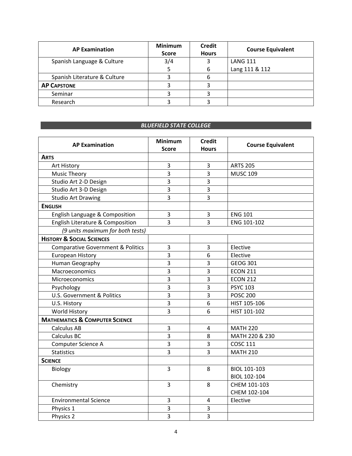| <b>AP Examination</b>        | <b>Minimum</b><br><b>Score</b> | <b>Credit</b><br><b>Hours</b> | <b>Course Equivalent</b> |
|------------------------------|--------------------------------|-------------------------------|--------------------------|
| Spanish Language & Culture   | 3/4                            |                               | <b>LANG 111</b>          |
|                              |                                | 6                             | Lang 111 & 112           |
| Spanish Literature & Culture |                                |                               |                          |
| <b>AP CAPSTONE</b>           |                                |                               |                          |
| Seminar                      |                                |                               |                          |
| Research                     |                                |                               |                          |

# **BLUEFIELD STATE COLLEGE**

| <b>AP Examination</b>                        | <b>Minimum</b><br><b>Score</b> | <b>Credit</b><br><b>Hours</b> | <b>Course Equivalent</b> |
|----------------------------------------------|--------------------------------|-------------------------------|--------------------------|
| <b>ARTS</b>                                  |                                |                               |                          |
| Art History                                  | 3                              | 3                             | <b>ARTS 205</b>          |
| <b>Music Theory</b>                          | 3                              | 3                             | <b>MUSC 109</b>          |
| Studio Art 2-D Design                        | 3                              | 3                             |                          |
| Studio Art 3-D Design                        | 3                              | 3                             |                          |
| <b>Studio Art Drawing</b>                    | 3                              | 3                             |                          |
| <b>ENGLISH</b>                               |                                |                               |                          |
| English Language & Composition               | 3                              | 3                             | <b>ENG 101</b>           |
| English Literature & Composition             | 3                              | 3                             | ENG 101-102              |
| (9 units maximum for both tests)             |                                |                               |                          |
| <b>HISTORY &amp; SOCIAL SCIENCES</b>         |                                |                               |                          |
| <b>Comparative Government &amp; Politics</b> | 3                              | 3                             | Elective                 |
| <b>European History</b>                      | 3                              | $\boldsymbol{6}$              | Elective                 |
| Human Geography                              | 3                              | 3                             | GEOG 301                 |
| Macroeconomics                               | 3                              | 3                             | <b>ECON 211</b>          |
| Microeconomics                               | 3                              | 3                             | <b>ECON 212</b>          |
| Psychology                                   | 3                              | 3                             | <b>PSYC 103</b>          |
| U.S. Government & Politics                   | 3                              | 3                             | <b>POSC 200</b>          |
| U.S. History                                 | 3                              | 6                             | HIST 105-106             |
| World History                                | $\overline{3}$                 | 6                             | HIST 101-102             |
| <b>MATHEMATICS &amp; COMPUTER SCIENCE</b>    |                                |                               |                          |
| <b>Calculus AB</b>                           | 3                              | $\overline{4}$                | <b>MATH 220</b>          |
| <b>Calculus BC</b>                           | 3                              | 8                             | MATH 220 & 230           |
| Computer Science A                           | 3                              | 3                             | <b>COSC 111</b>          |
| <b>Statistics</b>                            | 3                              | 3                             | <b>MATH 210</b>          |
| <b>SCIENCE</b>                               |                                |                               |                          |
| Biology                                      | $\overline{3}$                 | 8                             | BIOL 101-103             |
|                                              |                                |                               | <b>BIOL 102-104</b>      |
| Chemistry                                    | $\overline{3}$                 | 8                             | CHEM 101-103             |
|                                              |                                |                               | CHEM 102-104             |
| <b>Environmental Science</b>                 | 3                              | 4                             | Elective                 |
| Physics 1                                    | 3                              | 3                             |                          |
| Physics 2                                    | 3                              | 3                             |                          |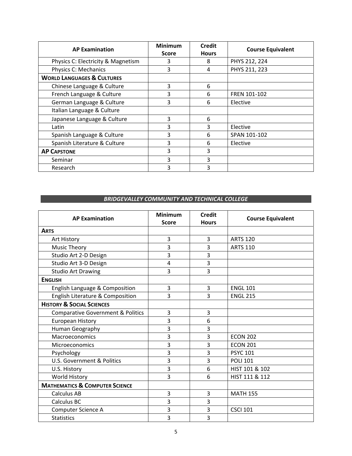| <b>AP Examination</b>                 | <b>Minimum</b><br><b>Score</b> | <b>Credit</b><br><b>Hours</b> | <b>Course Equivalent</b> |
|---------------------------------------|--------------------------------|-------------------------------|--------------------------|
| Physics C: Electricity & Magnetism    | 3                              | 8                             | PHYS 212, 224            |
| Physics C: Mechanics                  | 3                              | $\overline{4}$                | PHYS 211, 223            |
| <b>WORLD LANGUAGES &amp; CULTURES</b> |                                |                               |                          |
| Chinese Language & Culture            | 3                              | 6                             |                          |
| French Language & Culture             | 3                              | 6                             | FREN 101-102             |
| German Language & Culture             | 3                              | 6                             | Elective                 |
| Italian Language & Culture            |                                |                               |                          |
| Japanese Language & Culture           | 3                              | 6                             |                          |
| Latin                                 | 3                              | 3                             | Elective                 |
| Spanish Language & Culture            | 3                              | 6                             | SPAN 101-102             |
| Spanish Literature & Culture          | 3                              | 6                             | Elective                 |
| <b>AP CAPSTONE</b>                    | 3                              | 3                             |                          |
| Seminar                               | 3                              | 3                             |                          |
| Research                              | 3                              | 3                             |                          |

#### *BRIDGEVALLEY COMMUNITY AND TECHNICAL COLLEGE*

| <b>AP Examination</b>                        | <b>Minimum</b><br><b>Score</b> | <b>Credit</b><br><b>Hours</b> | <b>Course Equivalent</b> |
|----------------------------------------------|--------------------------------|-------------------------------|--------------------------|
| <b>ARTS</b>                                  |                                |                               |                          |
| Art History                                  | 3                              | 3                             | <b>ARTS 120</b>          |
| <b>Music Theory</b>                          | 3                              | 3                             | <b>ARTS 110</b>          |
| Studio Art 2-D Design                        | 3                              | 3                             |                          |
| Studio Art 3-D Design                        | 4                              | 3                             |                          |
| <b>Studio Art Drawing</b>                    | 3                              | 3                             |                          |
| <b>ENGLISH</b>                               |                                |                               |                          |
| English Language & Composition               | 3                              | 3                             | <b>ENGL 101</b>          |
| English Literature & Composition             | 3                              | 3                             | <b>ENGL 215</b>          |
| <b>HISTORY &amp; SOCIAL SCIENCES</b>         |                                |                               |                          |
| <b>Comparative Government &amp; Politics</b> | 3                              | 3                             |                          |
| European History                             | 3                              | 6                             |                          |
| Human Geography                              | 3                              | 3                             |                          |
| Macroeconomics                               | 3                              | 3                             | <b>ECON 202</b>          |
| Microeconomics                               | 3                              | 3                             | <b>ECON 201</b>          |
| Psychology                                   | 3                              | 3                             | <b>PSYC 101</b>          |
| <b>U.S. Government &amp; Politics</b>        | 3                              | 3                             | <b>POLI 101</b>          |
| U.S. History                                 | 3                              | 6                             | HIST 101 & 102           |
| World History                                | 3                              | 6                             | HIST 111 & 112           |
| <b>MATHEMATICS &amp; COMPUTER SCIENCE</b>    |                                |                               |                          |
| <b>Calculus AB</b>                           | 3                              | 3                             | <b>MATH 155</b>          |
| Calculus BC                                  | 3                              | 3                             |                          |
| Computer Science A                           | 3                              | 3                             | <b>CSCI 101</b>          |
| <b>Statistics</b>                            | 3                              | 3                             |                          |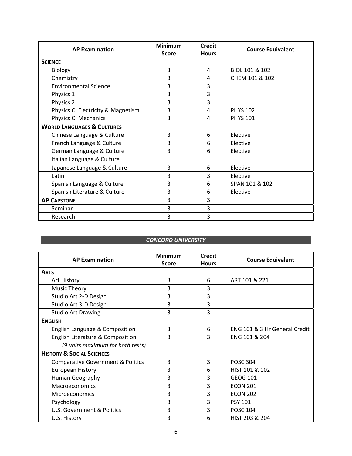|                                       | <b>Minimum</b> | <b>Credit</b> |                          |
|---------------------------------------|----------------|---------------|--------------------------|
| <b>AP Examination</b>                 | <b>Score</b>   | <b>Hours</b>  | <b>Course Equivalent</b> |
| <b>SCIENCE</b>                        |                |               |                          |
| Biology                               | 3              | 4             | BIOL 101 & 102           |
| Chemistry                             | 3              | 4             | CHEM 101 & 102           |
| <b>Environmental Science</b>          | 3              | 3             |                          |
| Physics 1                             | 3              | 3             |                          |
| Physics 2                             | 3              | 3             |                          |
| Physics C: Electricity & Magnetism    | 3              | 4             | <b>PHYS 102</b>          |
| Physics C: Mechanics                  | 3              | 4             | <b>PHYS 101</b>          |
| <b>WORLD LANGUAGES &amp; CULTURES</b> |                |               |                          |
| Chinese Language & Culture            | 3              | 6             | Elective                 |
| French Language & Culture             | 3              | 6             | Elective                 |
| German Language & Culture             | 3              | 6             | Elective                 |
| Italian Language & Culture            |                |               |                          |
| Japanese Language & Culture           | 3              | 6             | Elective                 |
| Latin                                 | 3              | 3             | Elective                 |
| Spanish Language & Culture            | 3              | 6             | SPAN 101 & 102           |
| Spanish Literature & Culture          | 3              | 6             | Elective                 |
| <b>AP CAPSTONE</b>                    | 3              | 3             |                          |
| Seminar                               | 3              | 3             |                          |
| Research                              | 3              | 3             |                          |

#### *CONCORD UNIVERSITY*

| <b>AP Examination</b>                        | <b>Minimum</b><br><b>Score</b> | <b>Credit</b><br><b>Hours</b> | <b>Course Equivalent</b>      |
|----------------------------------------------|--------------------------------|-------------------------------|-------------------------------|
| <b>ARTS</b>                                  |                                |                               |                               |
| Art History                                  | 3                              | 6                             | ART 101 & 221                 |
| Music Theory                                 | 3                              | 3                             |                               |
| Studio Art 2-D Design                        | 3                              | 3                             |                               |
| Studio Art 3-D Design                        | 3                              | 3                             |                               |
| <b>Studio Art Drawing</b>                    | 3                              | 3                             |                               |
| <b>ENGLISH</b>                               |                                |                               |                               |
| English Language & Composition               | 3                              | 6                             | ENG 101 & 3 Hr General Credit |
| English Literature & Composition             | 3                              | 3                             | ENG 101 & 204                 |
| (9 units maximum for both tests)             |                                |                               |                               |
| <b>HISTORY &amp; SOCIAL SCIENCES</b>         |                                |                               |                               |
| <b>Comparative Government &amp; Politics</b> | 3                              | 3                             | <b>POSC 304</b>               |
| <b>European History</b>                      | 3                              | 6                             | HIST 101 & 102                |
| Human Geography                              | 3                              | 3                             | GEOG 101                      |
| Macroeconomics                               | 3                              | 3                             | <b>ECON 201</b>               |
| <b>Microeconomics</b>                        | 3                              | 3                             | <b>ECON 202</b>               |
| Psychology                                   | 3                              | 3                             | <b>PSY 101</b>                |
| <b>U.S. Government &amp; Politics</b>        | 3                              | 3                             | <b>POSC 104</b>               |
| U.S. History                                 | 3                              | 6                             | HIST 203 & 204                |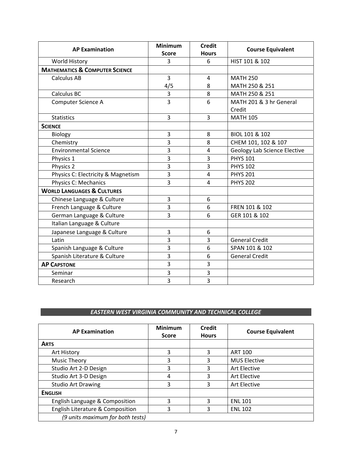| <b>AP Examination</b>                     | <b>Minimum</b> | <b>Credit</b>  | <b>Course Equivalent</b>            |
|-------------------------------------------|----------------|----------------|-------------------------------------|
|                                           | <b>Score</b>   | <b>Hours</b>   |                                     |
| World History                             | 3              | 6              | HIST 101 & 102                      |
| <b>MATHEMATICS &amp; COMPUTER SCIENCE</b> |                |                |                                     |
| <b>Calculus AB</b>                        | 3              | $\overline{4}$ | <b>MATH 250</b>                     |
|                                           | 4/5            | 8              | MATH 250 & 251                      |
| Calculus BC                               | 3              | 8              | MATH 250 & 251                      |
| Computer Science A                        | $\overline{3}$ | 6              | MATH 201 & 3 hr General             |
|                                           |                |                | Credit                              |
| <b>Statistics</b>                         | 3              | 3              | <b>MATH 105</b>                     |
| <b>SCIENCE</b>                            |                |                |                                     |
| Biology                                   | $\overline{3}$ | 8              | BIOL 101 & 102                      |
| Chemistry                                 | 3              | 8              | CHEM 101, 102 & 107                 |
| <b>Environmental Science</b>              | 3              | $\overline{4}$ | <b>Geology Lab Science Elective</b> |
| Physics 1                                 | $\overline{3}$ | 3              | <b>PHYS 101</b>                     |
| Physics 2                                 | 3              | 3              | <b>PHYS 102</b>                     |
| Physics C: Electricity & Magnetism        | 3              | $\overline{4}$ | <b>PHYS 201</b>                     |
| Physics C: Mechanics                      | $\overline{3}$ | 4              | <b>PHYS 202</b>                     |
| <b>WORLD LANGUAGES &amp; CULTURES</b>     |                |                |                                     |
| Chinese Language & Culture                | 3              | 6              |                                     |
| French Language & Culture                 | 3              | 6              | FREN 101 & 102                      |
| German Language & Culture                 | 3              | 6              | GER 101 & 102                       |
| Italian Language & Culture                |                |                |                                     |
| Japanese Language & Culture               | 3              | 6              |                                     |
| Latin                                     | 3              | 3              | <b>General Credit</b>               |
| Spanish Language & Culture                | 3              | 6              | SPAN 101 & 102                      |
| Spanish Literature & Culture              | $\overline{3}$ | 6              | <b>General Credit</b>               |
| <b>AP CAPSTONE</b>                        | 3              | 3              |                                     |
| Seminar                                   | 3              | 3              |                                     |
| Research                                  | 3              | 3              |                                     |

# *EASTERN WEST VIRGINIA COMMUNITY AND TECHNICAL COLLEGE*

| <b>AP Examination</b>            | <b>Minimum</b><br><b>Score</b> | Credit<br><b>Hours</b> | <b>Course Equivalent</b> |
|----------------------------------|--------------------------------|------------------------|--------------------------|
| <b>ARTS</b>                      |                                |                        |                          |
| Art History                      | 3                              | 3                      | <b>ART 100</b>           |
| <b>Music Theory</b>              | 3                              | 3                      | <b>MUS Elective</b>      |
| Studio Art 2-D Design            | 3                              | 3                      | Art Elective             |
| Studio Art 3-D Design            | 4                              | 3                      | Art Elective             |
| <b>Studio Art Drawing</b>        | 3                              | 3                      | Art Elective             |
| <b>ENGLISH</b>                   |                                |                        |                          |
| English Language & Composition   | 3                              | 3                      | <b>ENL 101</b>           |
| English Literature & Composition | 3                              | 3                      | <b>ENL 102</b>           |
| (9 units maximum for both tests) |                                |                        |                          |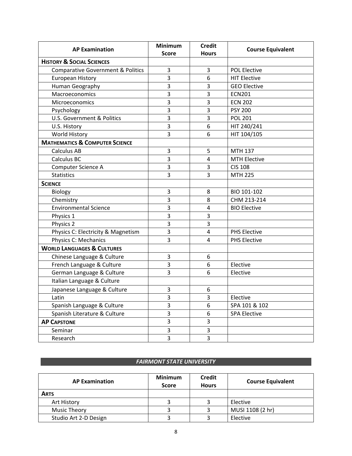| <b>AP Examination</b>                        | <b>Minimum</b><br>Score | <b>Credit</b><br><b>Hours</b> | <b>Course Equivalent</b> |
|----------------------------------------------|-------------------------|-------------------------------|--------------------------|
| <b>HISTORY &amp; SOCIAL SCIENCES</b>         |                         |                               |                          |
| <b>Comparative Government &amp; Politics</b> | 3                       | 3                             | <b>POL Elective</b>      |
| European History                             | $\overline{3}$          | 6                             | <b>HIT Elective</b>      |
| Human Geography                              | $\overline{3}$          | 3                             | <b>GEO Elective</b>      |
| Macroeconomics                               | $\overline{3}$          | $\overline{3}$                | <b>ECN201</b>            |
| Microeconomics                               | $\overline{3}$          | 3                             | <b>ECN 202</b>           |
| Psychology                                   | $\overline{3}$          | 3                             | <b>PSY 200</b>           |
| U.S. Government & Politics                   | $\overline{3}$          | $\overline{3}$                | <b>POL 201</b>           |
| U.S. History                                 | $\overline{3}$          | 6                             | HIT 240/241              |
| World History                                | $\overline{3}$          | 6                             | HIT 104/105              |
| <b>MATHEMATICS &amp; COMPUTER SCIENCE</b>    |                         |                               |                          |
| <b>Calculus AB</b>                           | 3                       | 5                             | MTH 137                  |
| Calculus BC                                  | 3                       | 4                             | <b>MTH Elective</b>      |
| Computer Science A                           | $\overline{3}$          | 3                             | <b>CIS 108</b>           |
| <b>Statistics</b>                            | $\overline{3}$          | 3                             | <b>MTH 225</b>           |
| <b>SCIENCE</b>                               |                         |                               |                          |
| Biology                                      | 3                       | 8                             | BIO 101-102              |
| Chemistry                                    | 3                       | 8                             | CHM 213-214              |
| <b>Environmental Science</b>                 | 3                       | 4                             | <b>BIO Elective</b>      |
| Physics 1                                    | 3                       | 3                             |                          |
| Physics 2                                    | 3                       | 3                             |                          |
| Physics C: Electricity & Magnetism           | 3                       | 4                             | <b>PHS Elective</b>      |
| Physics C: Mechanics                         | 3                       | 4                             | <b>PHS Elective</b>      |
| <b>WORLD LANGUAGES &amp; CULTURES</b>        |                         |                               |                          |
| Chinese Language & Culture                   | 3                       | 6                             |                          |
| French Language & Culture                    | $\overline{3}$          | 6                             | Elective                 |
| German Language & Culture                    | $\overline{3}$          | 6                             | Elective                 |
| Italian Language & Culture                   |                         |                               |                          |
| Japanese Language & Culture                  | $\overline{3}$          | 6                             |                          |
| Latin                                        | 3                       | 3                             | Elective                 |
| Spanish Language & Culture                   | 3                       | 6                             | SPA 101 & 102            |
| Spanish Literature & Culture                 | 3                       | 6                             | <b>SPA Elective</b>      |
| <b>AP CAPSTONE</b>                           | $\overline{3}$          | 3                             |                          |
| Seminar                                      | 3                       | 3                             |                          |
| Research                                     | $\overline{3}$          | $\overline{3}$                |                          |

#### *FAIRMONT STATE UNIVERSITY*

| <b>AP Examination</b> | <b>Minimum</b><br><b>Score</b> | <b>Credit</b><br><b>Hours</b> | <b>Course Equivalent</b> |
|-----------------------|--------------------------------|-------------------------------|--------------------------|
| <b>ARTS</b>           |                                |                               |                          |
| Art History           |                                |                               | Elective                 |
| Music Theory          |                                |                               | MUSI 1108 (2 hr)         |
| Studio Art 2-D Design |                                |                               | Elective                 |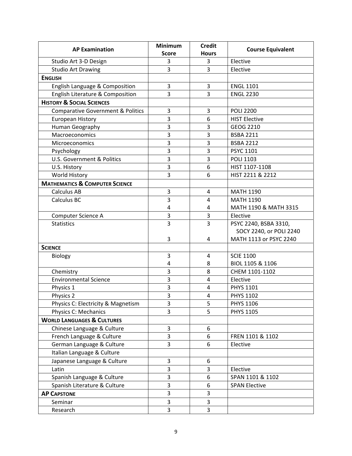| <b>AP Examination</b>                        | <b>Minimum</b> | <b>Credit</b>  |                          |
|----------------------------------------------|----------------|----------------|--------------------------|
|                                              | <b>Score</b>   | <b>Hours</b>   | <b>Course Equivalent</b> |
| Studio Art 3-D Design                        | 3              | 3              | Elective                 |
| <b>Studio Art Drawing</b>                    | 3              | 3              | Elective                 |
| <b>ENGLISH</b>                               |                |                |                          |
| English Language & Composition               | 3              | 3              | <b>ENGL 1101</b>         |
| English Literature & Composition             | 3              | 3              | <b>ENGL 2230</b>         |
| <b>HISTORY &amp; SOCIAL SCIENCES</b>         |                |                |                          |
| <b>Comparative Government &amp; Politics</b> | 3              | $\overline{3}$ | <b>POLI 2200</b>         |
| <b>European History</b>                      | 3              | 6              | <b>HIST Elective</b>     |
| Human Geography                              | 3              | 3              | GEOG 2210                |
| Macroeconomics                               | 3              | 3              | <b>BSBA 2211</b>         |
| Microeconomics                               | 3              | 3              | <b>BSBA 2212</b>         |
| Psychology                                   | 3              | 3              | PSYC 1101                |
| U.S. Government & Politics                   | 3              | 3              | <b>POLI 1103</b>         |
| U.S. History                                 | 3              | 6              | HIST 1107-1108           |
| World History                                | 3              | 6              | HIST 2211 & 2212         |
| <b>MATHEMATICS &amp; COMPUTER SCIENCE</b>    |                |                |                          |
| <b>Calculus AB</b>                           | 3              | 4              | <b>MATH 1190</b>         |
| Calculus BC                                  | 3              | $\overline{4}$ | <b>MATH 1190</b>         |
|                                              | 4              | 4              | MATH 1190 & MATH 3315    |
| Computer Science A                           | 3              | 3              | Elective                 |
| <b>Statistics</b>                            | $\overline{3}$ | 3              | PSYC 2240, BSBA 3310,    |
|                                              |                |                | SOCY 2240, or POLI 2240  |
|                                              | 3              | 4              | MATH 1113 or PSYC 2240   |
| <b>SCIENCE</b>                               |                |                |                          |
| Biology                                      | 3              | 4              | <b>SCIE 1100</b>         |
|                                              | $\overline{4}$ | 8              | BIOL 1105 & 1106         |
| Chemistry                                    | 3              | 8              | CHEM 1101-1102           |
| <b>Environmental Science</b>                 | 3              | $\overline{4}$ | Elective                 |
| Physics 1                                    | 3              | $\overline{4}$ | PHYS 1101                |
| Physics 2                                    | 3              | 4              | <b>PHYS 1102</b>         |
| Physics C: Electricity & Magnetism           | 3              | 5              | PHYS 1106                |
| Physics C: Mechanics                         | 3              | 5              | <b>PHYS 1105</b>         |
| <b>WORLD LANGUAGES &amp; CULTURES</b>        |                |                |                          |
| Chinese Language & Culture                   | 3              | 6              |                          |
| French Language & Culture                    | 3              | 6              | FREN 1101 & 1102         |
| German Language & Culture                    | 3              | 6              | Elective                 |
| Italian Language & Culture                   |                |                |                          |
| Japanese Language & Culture                  | 3              | 6              |                          |
| Latin                                        | 3              | 3              | Elective                 |
| Spanish Language & Culture                   | 3              | 6              | SPAN 1101 & 1102         |
| Spanish Literature & Culture                 | 3              | 6              | <b>SPAN Elective</b>     |
| <b>AP CAPSTONE</b>                           | 3              | 3              |                          |
| Seminar                                      | 3              | $\overline{3}$ |                          |
| Research                                     | 3              | 3              |                          |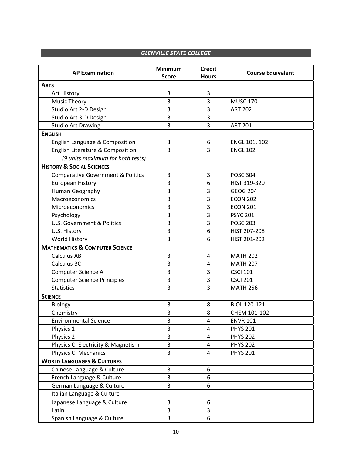#### **GLENVILLE STATE COLLEGE**

| <b>AP Examination</b>                        | <b>Minimum</b><br><b>Score</b> | <b>Credit</b><br><b>Hours</b> | <b>Course Equivalent</b> |
|----------------------------------------------|--------------------------------|-------------------------------|--------------------------|
| <b>ARTS</b>                                  |                                |                               |                          |
| Art History                                  | 3                              | $\mathbf{3}$                  |                          |
| <b>Music Theory</b>                          | 3                              | 3                             | <b>MUSC 170</b>          |
| Studio Art 2-D Design                        | 3                              | 3                             | <b>ART 202</b>           |
| Studio Art 3-D Design                        | 3                              | 3                             |                          |
| <b>Studio Art Drawing</b>                    | 3                              | 3                             | <b>ART 201</b>           |
| <b>ENGLISH</b>                               |                                |                               |                          |
| English Language & Composition               | 3                              | 6                             | ENGL 101, 102            |
| English Literature & Composition             | 3                              | 3                             | <b>ENGL 102</b>          |
| (9 units maximum for both tests)             |                                |                               |                          |
| <b>HISTORY &amp; SOCIAL SCIENCES</b>         |                                |                               |                          |
| <b>Comparative Government &amp; Politics</b> | 3                              | 3                             | <b>POSC 304</b>          |
| <b>European History</b>                      | 3                              | 6                             | HIST 319-320             |
| Human Geography                              | 3                              | 3                             | <b>GEOG 204</b>          |
| Macroeconomics                               | 3                              | 3                             | <b>ECON 202</b>          |
| Microeconomics                               | 3                              | 3                             | <b>ECON 201</b>          |
| Psychology                                   | 3                              | 3                             | <b>PSYC 201</b>          |
| <b>U.S. Government &amp; Politics</b>        | 3                              | 3                             | <b>POSC 203</b>          |
| U.S. History                                 | 3                              | 6                             | HIST 207-208             |
| World History                                | 3                              | 6                             | HIST 201-202             |
| <b>MATHEMATICS &amp; COMPUTER SCIENCE</b>    |                                |                               |                          |
| <b>Calculus AB</b>                           | 3                              | 4                             | <b>MATH 202</b>          |
| Calculus BC                                  | 3                              | $\overline{a}$                | <b>MATH 207</b>          |
| Computer Science A                           | 3                              | 3                             | <b>CSCI 101</b>          |
| <b>Computer Science Principles</b>           | 3                              | 3                             | <b>CSCI 201</b>          |
| <b>Statistics</b>                            | 3                              | 3                             | <b>MATH 256</b>          |
| <b>SCIENCE</b>                               |                                |                               |                          |
| Biology                                      | 3                              | 8                             | BIOL 120-121             |
| Chemistry                                    | 3                              | 8                             | CHEM 101-102             |
| <b>Environmental Science</b>                 | 3                              | 4                             | <b>ENVR 101</b>          |
| Physics 1                                    | 3                              | 4                             | <b>PHYS 201</b>          |
| Physics 2                                    | 3                              | $\overline{\mathbf{4}}$       | <b>PHYS 202</b>          |
| Physics C: Electricity & Magnetism           | 3                              | 4                             | <b>PHYS 202</b>          |
| Physics C: Mechanics                         | 3                              | $\overline{4}$                | <b>PHYS 201</b>          |
| <b>WORLD LANGUAGES &amp; CULTURES</b>        |                                |                               |                          |
| Chinese Language & Culture                   | 3                              | 6                             |                          |
| French Language & Culture                    | 3                              | 6                             |                          |
| German Language & Culture                    | $\overline{3}$                 | 6                             |                          |
| Italian Language & Culture                   |                                |                               |                          |
| Japanese Language & Culture                  | 3                              | 6                             |                          |
| Latin                                        | 3                              | 3                             |                          |
| Spanish Language & Culture                   | 3                              | 6                             |                          |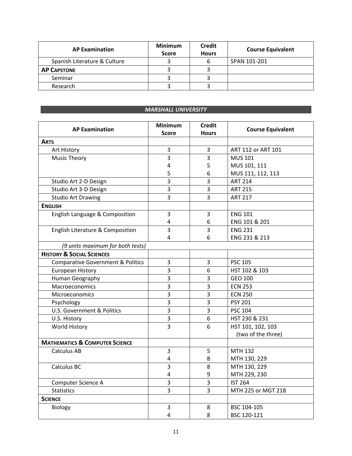| <b>AP Examination</b>        | <b>Minimum</b><br><b>Score</b> | <b>Credit</b><br><b>Hours</b> | <b>Course Equivalent</b> |
|------------------------------|--------------------------------|-------------------------------|--------------------------|
| Spanish Literature & Culture |                                | b                             | SPAN 101-201             |
| <b>AP CAPSTONE</b>           |                                |                               |                          |
| Seminar                      |                                |                               |                          |
| Research                     |                                |                               |                          |

#### *MARSHALL UNIVERSITY*

| <b>AP Examination</b>                        | <b>Minimum</b><br><b>Score</b> | <b>Credit</b><br><b>Hours</b> | <b>Course Equivalent</b> |
|----------------------------------------------|--------------------------------|-------------------------------|--------------------------|
| <b>ARTS</b>                                  |                                |                               |                          |
| Art History                                  | 3                              | 3                             | ART 112 or ART 101       |
| <b>Music Theory</b>                          | 3                              | 3                             | <b>MUS 101</b>           |
|                                              | 4                              | 5                             | MUS 101, 111             |
|                                              | 5                              | 6                             | MUS 111, 112, 113        |
| Studio Art 2-D Design                        | 3                              | 3                             | <b>ART 214</b>           |
| Studio Art 3-D Design                        | 3                              | 3                             | <b>ART 215</b>           |
| <b>Studio Art Drawing</b>                    | $\overline{3}$                 | 3                             | <b>ART 217</b>           |
| <b>ENGLISH</b>                               |                                |                               |                          |
| English Language & Composition               | 3                              | 3                             | <b>ENG 101</b>           |
|                                              | 4                              | 6                             | ENG 101 & 201            |
| English Literature & Composition             | 3                              | 3                             | <b>ENG 231</b>           |
|                                              | 4                              | 6                             | ENG 231 & 213            |
| (9 units maximum for both tests)             |                                |                               |                          |
| <b>HISTORY &amp; SOCIAL SCIENCES</b>         |                                |                               |                          |
| <b>Comparative Government &amp; Politics</b> | 3                              | 3                             | <b>PSC 105</b>           |
| <b>European History</b>                      | 3                              | 6                             | HST 102 & 103            |
| Human Geography                              | 3                              | 3                             | GEO 100                  |
| Macroeconomics                               | $\overline{3}$                 | 3                             | <b>ECN 253</b>           |
| Microeconomics                               | 3                              | 3                             | <b>ECN 250</b>           |
| Psychology                                   | 3                              | 3                             | <b>PSY 201</b>           |
| U.S. Government & Politics                   | 3                              | 3                             | <b>PSC 104</b>           |
| U.S. History                                 | 3                              | 6                             | HST 230 & 231            |
| World History                                | $\overline{3}$                 | 6                             | HST 101, 102, 103        |
|                                              |                                |                               | (two of the three)       |
| <b>MATHEMATICS &amp; COMPUTER SCIENCE</b>    |                                |                               |                          |
| Calculus AB                                  | $\overline{3}$                 | 5                             | <b>MTH 132</b>           |
|                                              | 4                              | 8                             | MTH 130, 229             |
| Calculus BC                                  | 3                              | 8                             | MTH 130, 229             |
|                                              | 4                              | 9                             | MTH 229, 230             |
| Computer Science A                           | 3                              | 3                             | <b>IST 264</b>           |
| <b>Statistics</b>                            | 3                              | 3                             | MTH 225 or MGT 218       |
| <b>SCIENCE</b>                               |                                |                               |                          |
| Biology                                      | 3                              | 8                             | BSC 104-105              |
|                                              | 4                              | 8                             | BSC 120-121              |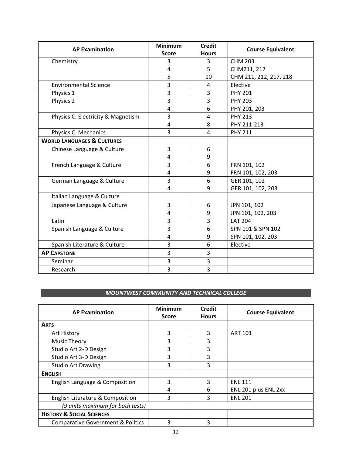| <b>AP Examination</b>                 | <b>Minimum</b> | <b>Credit</b>  |                          |
|---------------------------------------|----------------|----------------|--------------------------|
|                                       | <b>Score</b>   | <b>Hours</b>   | <b>Course Equivalent</b> |
| Chemistry                             | 3              | 3              | <b>CHM 203</b>           |
|                                       | 4              | 5              | CHM211, 217              |
|                                       | 5              | 10             | CHM 211, 212, 217, 218   |
| <b>Environmental Science</b>          | 3              | 4              | Elective                 |
| Physics 1                             | 3              | 3              | <b>PHY 201</b>           |
| Physics 2                             | 3              | 3              | <b>PHY 203</b>           |
|                                       | 4              | 6              | PHY 201, 203             |
| Physics C: Electricity & Magnetism    | 3              | $\overline{4}$ | <b>PHY 213</b>           |
|                                       | 4              | 8              | PHY 211-213              |
| Physics C: Mechanics                  | 3              | 4              | <b>PHY 211</b>           |
| <b>WORLD LANGUAGES &amp; CULTURES</b> |                |                |                          |
| Chinese Language & Culture            | 3              | 6              |                          |
|                                       | 4              | 9              |                          |
| French Language & Culture             | 3              | 6              | FRN 101, 102             |
|                                       | 4              | 9              | FRN 101, 102, 203        |
| German Language & Culture             | 3              | 6              | GER 101, 102             |
|                                       | 4              | 9              | GER 101, 102, 203        |
| Italian Language & Culture            |                |                |                          |
| Japanese Language & Culture           | 3              | 6              | JPN 101, 102             |
|                                       | 4              | 9              | JPN 101, 102, 203        |
| Latin                                 | 3              | 3              | <b>LAT 204</b>           |
| Spanish Language & Culture            | 3              | 6              | SPN 101 & SPN 102        |
|                                       | 4              | 9              | SPN 101, 102, 203        |
| Spanish Literature & Culture          | 3              | 6              | Elective                 |
| <b>AP CAPSTONE</b>                    | 3              | 3              |                          |
| Seminar                               | 3              | 3              |                          |
| Research                              | 3              | 3              |                          |

### *MOUNTWEST COMMUNITY AND TECHNICAL COLLEGE*

| <b>AP Examination</b>                        | <b>Minimum</b><br><b>Score</b> | <b>Credit</b><br><b>Hours</b> | <b>Course Equivalent</b> |
|----------------------------------------------|--------------------------------|-------------------------------|--------------------------|
| <b>ARTS</b>                                  |                                |                               |                          |
| Art History                                  | 3                              | 3                             | <b>ART 101</b>           |
| <b>Music Theory</b>                          | 3                              | 3                             |                          |
| Studio Art 2-D Design                        | 3                              | 3                             |                          |
| Studio Art 3-D Design                        | 3                              | 3                             |                          |
| <b>Studio Art Drawing</b>                    | 3                              | 3                             |                          |
| <b>ENGLISH</b>                               |                                |                               |                          |
| English Language & Composition               | 3                              | 3                             | <b>ENL 111</b>           |
|                                              | 4                              | 6                             | ENL 201 plus ENL 2xx     |
| English Literature & Composition             | 3                              | 3                             | <b>ENL 201</b>           |
| (9 units maximum for both tests)             |                                |                               |                          |
| <b>HISTORY &amp; SOCIAL SCIENCES</b>         |                                |                               |                          |
| <b>Comparative Government &amp; Politics</b> | 3                              | 3                             |                          |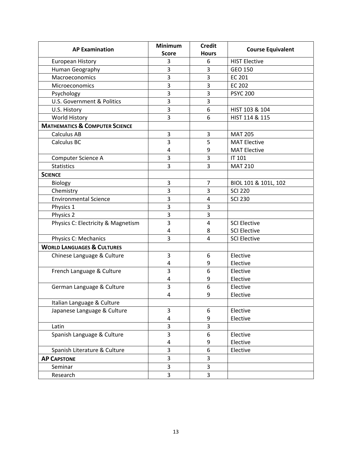| <b>AP Examination</b>                     | <b>Minimum</b> | <b>Credit</b>  | <b>Course Equivalent</b> |
|-------------------------------------------|----------------|----------------|--------------------------|
|                                           | <b>Score</b>   | <b>Hours</b>   |                          |
| <b>European History</b>                   | 3              | 6              | <b>HIST Elective</b>     |
| Human Geography                           | 3              | 3              | GEO 150                  |
| Macroeconomics                            | 3              | 3              | <b>EC 201</b>            |
| Microeconomics                            | 3              | 3              | <b>EC 202</b>            |
| Psychology                                | 3              | 3              | <b>PSYC 200</b>          |
| <b>U.S. Government &amp; Politics</b>     | 3              | 3              |                          |
| U.S. History                              | 3              | 6              | HIST 103 & 104           |
| World History                             | 3              | 6              | HIST 114 & 115           |
| <b>MATHEMATICS &amp; COMPUTER SCIENCE</b> |                |                |                          |
| <b>Calculus AB</b>                        | 3              | 3              | <b>MAT 205</b>           |
| Calculus BC                               | 3              | 5              | <b>MAT Elective</b>      |
|                                           | 4              | 9              | <b>MAT Elective</b>      |
| Computer Science A                        | 3              | 3              | IT 101                   |
| <b>Statistics</b>                         | 3              | 3              | <b>MAT 210</b>           |
| <b>SCIENCE</b>                            |                |                |                          |
| Biology                                   | 3              | $\overline{7}$ | BIOL 101 & 101L, 102     |
| Chemistry                                 | 3              | 3              | <b>SCI 220</b>           |
| <b>Environmental Science</b>              | 3              | $\overline{4}$ | <b>SCI 230</b>           |
| Physics 1                                 | 3              | 3              |                          |
| Physics 2                                 | 3              | 3              |                          |
| Physics C: Electricity & Magnetism        | 3              | $\overline{4}$ | <b>SCI Elective</b>      |
|                                           | 4              | 8              | <b>SCI Elective</b>      |
| Physics C: Mechanics                      | 3              | $\overline{4}$ | <b>SCI Elective</b>      |
| <b>WORLD LANGUAGES &amp; CULTURES</b>     |                |                |                          |
| Chinese Language & Culture                | 3              | 6              | Elective                 |
|                                           | $\overline{4}$ | 9              | Elective                 |
| French Language & Culture                 | 3              | 6              | Elective                 |
|                                           | 4              | 9              | Elective                 |
| German Language & Culture                 | 3              | 6              | Elective                 |
|                                           | 4              | 9              | Elective                 |
| Italian Language & Culture                |                |                |                          |
| Japanese Language & Culture               | 3              | 6              | Elective                 |
|                                           | 4              | 9              | Elective                 |
| Latin                                     | 3              | 3              |                          |
| Spanish Language & Culture                | 3              | 6              | Elective                 |
|                                           | 4              | 9              | Elective                 |
| Spanish Literature & Culture              | 3              | 6              | Elective                 |
| <b>AP CAPSTONE</b>                        | 3              | 3              |                          |
| Seminar                                   | 3              | 3              |                          |
| Research                                  | 3              | 3              |                          |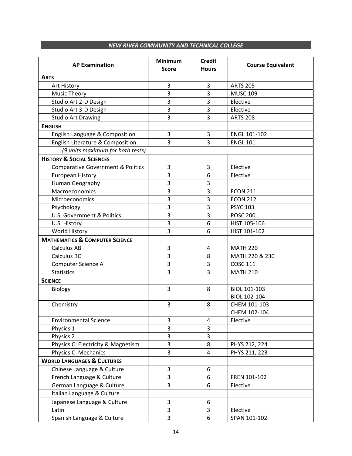#### **NEW RIVER COMMUNITY AND TECHNICAL COLLEGE**

| <b>AP Examination</b>                        | <b>Minimum</b><br><b>Score</b> | <b>Credit</b><br><b>Hours</b> | <b>Course Equivalent</b> |
|----------------------------------------------|--------------------------------|-------------------------------|--------------------------|
| <b>ARTS</b>                                  |                                |                               |                          |
| Art History                                  | 3                              | 3                             | <b>ARTS 205</b>          |
| <b>Music Theory</b>                          | 3                              | 3                             | <b>MUSC 109</b>          |
| Studio Art 2-D Design                        | 3                              | 3                             | Elective                 |
| Studio Art 3-D Design                        | 3                              | 3                             | Elective                 |
| <b>Studio Art Drawing</b>                    | 3                              | 3                             | <b>ARTS 208</b>          |
| <b>ENGLISH</b>                               |                                |                               |                          |
| English Language & Composition               | 3                              | 3                             | ENGL 101-102             |
| English Literature & Composition             | 3                              | 3                             | <b>ENGL 101</b>          |
| (9 units maximum for both tests)             |                                |                               |                          |
| <b>HISTORY &amp; SOCIAL SCIENCES</b>         |                                |                               |                          |
| <b>Comparative Government &amp; Politics</b> | 3                              | 3                             | Elective                 |
| European History                             | 3                              | 6                             | Elective                 |
| Human Geography                              | 3                              | 3                             |                          |
| Macroeconomics                               | 3                              | 3                             | <b>ECON 211</b>          |
| Microeconomics                               | 3                              | 3                             | <b>ECON 212</b>          |
| Psychology                                   | 3                              | 3                             | <b>PSYC 103</b>          |
| <b>U.S. Government &amp; Politics</b>        | 3                              | 3                             | <b>POSC 200</b>          |
| U.S. History                                 | 3                              | $\boldsymbol{6}$              | HIST 105-106             |
| World History                                | 3                              | 6                             | HIST 101-102             |
| <b>MATHEMATICS &amp; COMPUTER SCIENCE</b>    |                                |                               |                          |
| <b>Calculus AB</b>                           | 3                              | $\overline{4}$                | <b>MATH 220</b>          |
| Calculus BC                                  | 3                              | 8                             | MATH 220 & 230           |
| Computer Science A                           | 3                              | 3                             | <b>COSC 111</b>          |
| <b>Statistics</b>                            | 3                              | 3                             | <b>MATH 210</b>          |
| <b>SCIENCE</b>                               |                                |                               |                          |
| <b>Biology</b>                               | 3                              | 8                             | BIOL 101-103             |
|                                              |                                |                               | BIOL 102-104             |
| Chemistry                                    | 3                              | 8                             | CHEM 101-103             |
|                                              |                                |                               | CHEM 102-104             |
| <b>Environmental Science</b>                 | 3                              | $\overline{\mathbf{4}}$       | Elective                 |
| Physics 1                                    | 3                              | 3                             |                          |
| Physics 2                                    | 3                              | $\overline{3}$                |                          |
| Physics C: Electricity & Magnetism           | 3                              | 8                             | PHYS 212, 224            |
| Physics C: Mechanics                         | 3                              | 4                             | PHYS 211, 223            |
| <b>WORLD LANGUAGES &amp; CULTURES</b>        |                                |                               |                          |
| Chinese Language & Culture                   | 3                              | 6                             |                          |
| French Language & Culture                    | 3                              | 6                             | FREN 101-102             |
| German Language & Culture                    | $\overline{3}$                 | 6                             | Elective                 |
| Italian Language & Culture                   |                                |                               |                          |
| Japanese Language & Culture                  | 3                              | 6                             |                          |
| Latin                                        | 3                              | 3                             | Elective                 |
| Spanish Language & Culture                   | 3                              | 6                             | SPAN 101-102             |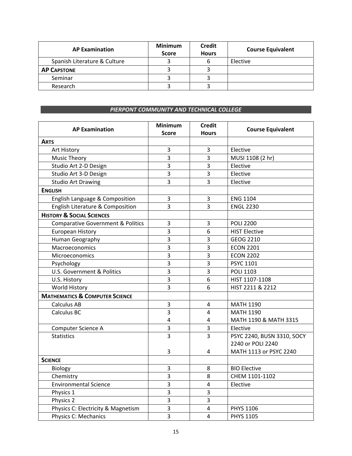| <b>AP Examination</b>        | <b>Minimum</b><br><b>Score</b> | <b>Credit</b><br><b>Hours</b> | <b>Course Equivalent</b> |
|------------------------------|--------------------------------|-------------------------------|--------------------------|
| Spanish Literature & Culture |                                | b                             | Elective                 |
| <b>AP CAPSTONE</b>           |                                |                               |                          |
| Seminar                      |                                |                               |                          |
| Research                     |                                |                               |                          |

#### *PIERPONT COMMUNITY AND TECHNICAL COLLEGE*

| <b>AP Examination</b>                        | <b>Minimum</b><br><b>Score</b> | <b>Credit</b><br><b>Hours</b> | <b>Course Equivalent</b>                        |
|----------------------------------------------|--------------------------------|-------------------------------|-------------------------------------------------|
| <b>ARTS</b>                                  |                                |                               |                                                 |
| Art History                                  | 3                              | $\mathsf 3$                   | Elective                                        |
| <b>Music Theory</b>                          | $\overline{3}$                 | $\overline{3}$                | MUSI 1108 (2 hr)                                |
| Studio Art 2-D Design                        | 3                              | 3                             | Elective                                        |
| Studio Art 3-D Design                        | 3                              | $\overline{3}$                | Elective                                        |
| <b>Studio Art Drawing</b>                    | 3                              | $\overline{3}$                | Elective                                        |
| <b>ENGLISH</b>                               |                                |                               |                                                 |
| English Language & Composition               | $\overline{3}$                 | $\overline{3}$                | <b>ENG 1104</b>                                 |
| English Literature & Composition             | 3                              | 3                             | <b>ENGL 2230</b>                                |
| <b>HISTORY &amp; SOCIAL SCIENCES</b>         |                                |                               |                                                 |
| <b>Comparative Government &amp; Politics</b> | 3                              | 3                             | <b>POLI 2200</b>                                |
| European History                             | $\overline{3}$                 | 6                             | <b>HIST Elective</b>                            |
| Human Geography                              | $\overline{3}$                 | 3                             | GEOG 2210                                       |
| Macroeconomics                               | $\overline{3}$                 | 3                             | <b>ECON 2201</b>                                |
| <b>Microeconomics</b>                        | $\overline{3}$                 | 3                             | <b>ECON 2202</b>                                |
| Psychology                                   | 3                              | 3                             | <b>PSYC 1101</b>                                |
| U.S. Government & Politics                   | $\overline{3}$                 | 3                             | POLI 1103                                       |
| U.S. History                                 | $\overline{3}$                 | 6                             | HIST 1107-1108                                  |
| World History                                | $\overline{3}$                 | 6                             | HIST 2211 & 2212                                |
| <b>MATHEMATICS &amp; COMPUTER SCIENCE</b>    |                                |                               |                                                 |
| <b>Calculus AB</b>                           | 3                              | $\pmb{4}$                     | <b>MATH 1190</b>                                |
| Calculus BC                                  | $\overline{3}$                 | $\overline{4}$                | <b>MATH 1190</b>                                |
|                                              | 4                              | $\overline{4}$                | MATH 1190 & MATH 3315                           |
| Computer Science A                           | $\overline{3}$                 | $\mathsf 3$                   | Elective                                        |
| <b>Statistics</b>                            | $\overline{3}$                 | $\overline{\mathbf{3}}$       | PSYC 2240, BUSN 3310, SOCY<br>2240 or POLI 2240 |
|                                              | 3                              | 4                             | MATH 1113 or PSYC 2240                          |
| <b>SCIENCE</b>                               |                                |                               |                                                 |
| Biology                                      | $\mathsf 3$                    | 8                             | <b>BIO Elective</b>                             |
| Chemistry                                    | $\overline{3}$                 | 8                             | CHEM 1101-1102                                  |
| <b>Environmental Science</b>                 | $\overline{3}$                 | $\overline{4}$                | Elective                                        |
| Physics 1                                    | $\overline{3}$                 | 3                             |                                                 |
| Physics 2                                    | $\overline{3}$                 | 3                             |                                                 |
| Physics C: Electricity & Magnetism           | 3                              | $\overline{4}$                | PHYS 1106                                       |
| <b>Physics C: Mechanics</b>                  | $\overline{3}$                 | 4                             | <b>PHYS 1105</b>                                |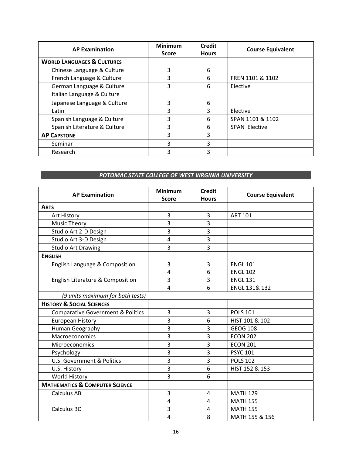| <b>AP Examination</b>                 | <b>Minimum</b><br><b>Score</b> | <b>Credit</b><br><b>Hours</b> | <b>Course Equivalent</b> |
|---------------------------------------|--------------------------------|-------------------------------|--------------------------|
| <b>WORLD LANGUAGES &amp; CULTURES</b> |                                |                               |                          |
| Chinese Language & Culture            | 3                              | 6                             |                          |
| French Language & Culture             | 3                              | 6                             | FREN 1101 & 1102         |
| German Language & Culture             | 3                              | 6                             | Elective                 |
| Italian Language & Culture            |                                |                               |                          |
| Japanese Language & Culture           | 3                              | 6                             |                          |
| Latin                                 | 3                              | 3                             | Elective                 |
| Spanish Language & Culture            | 3                              | 6                             | SPAN 1101 & 1102         |
| Spanish Literature & Culture          | 3                              | 6                             | <b>SPAN Elective</b>     |
| <b>AP CAPSTONE</b>                    | 3                              | 3                             |                          |
| Seminar                               | 3                              | 3                             |                          |
| Research                              | 3                              | 3                             |                          |

#### *POTOMAC STATE COLLEGE OF WEST VIRGINIA UNIVERSITY*

| <b>AP Examination</b>                        | <b>Minimum</b> | <b>Credit</b>  | <b>Course Equivalent</b> |
|----------------------------------------------|----------------|----------------|--------------------------|
|                                              | <b>Score</b>   | <b>Hours</b>   |                          |
| <b>ARTS</b>                                  |                |                |                          |
| Art History                                  | 3              | 3              | <b>ART 101</b>           |
| <b>Music Theory</b>                          | 3              | 3              |                          |
| Studio Art 2-D Design                        | 3              | 3              |                          |
| Studio Art 3-D Design                        | 4              | 3              |                          |
| <b>Studio Art Drawing</b>                    | 3              | 3              |                          |
| <b>ENGLISH</b>                               |                |                |                          |
| English Language & Composition               | 3              | 3              | <b>ENGL 101</b>          |
|                                              | 4              | 6              | <b>ENGL 102</b>          |
| English Literature & Composition             | 3              | 3              | <b>ENGL 131</b>          |
|                                              | 4              | 6              | ENGL 131& 132            |
| (9 units maximum for both tests)             |                |                |                          |
| <b>HISTORY &amp; SOCIAL SCIENCES</b>         |                |                |                          |
| <b>Comparative Government &amp; Politics</b> | 3              | 3              | <b>POLS 101</b>          |
| <b>European History</b>                      | 3              | 6              | HIST 101 & 102           |
| Human Geography                              | 3              | 3              | <b>GEOG 108</b>          |
| Macroeconomics                               | 3              | 3              | <b>ECON 202</b>          |
| Microeconomics                               | 3              | 3              | <b>ECON 201</b>          |
| Psychology                                   | 3              | 3              | <b>PSYC 101</b>          |
| <b>U.S. Government &amp; Politics</b>        | 3              | 3              | <b>POLS 102</b>          |
| U.S. History                                 | 3              | 6              | HIST 152 & 153           |
| World History                                | 3              | 6              |                          |
| <b>MATHEMATICS &amp; COMPUTER SCIENCE</b>    |                |                |                          |
| <b>Calculus AB</b>                           | 3              | $\overline{a}$ | <b>MATH 129</b>          |
|                                              | 4              | 4              | <b>MATH 155</b>          |
| Calculus BC                                  | 3              | 4              | <b>MATH 155</b>          |
|                                              | 4              | 8              | MATH 155 & 156           |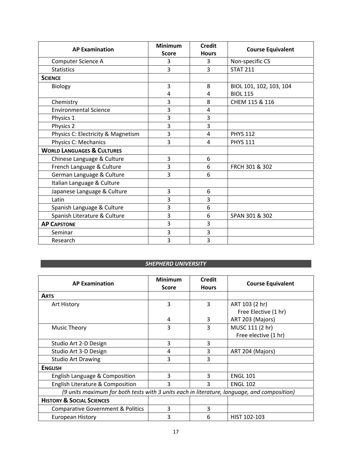| <b>AP Examination</b>                 | <b>Minimum</b> | <b>Credit</b>  | <b>Course Equivalent</b> |
|---------------------------------------|----------------|----------------|--------------------------|
|                                       | <b>Score</b>   | <b>Hours</b>   |                          |
| Computer Science A                    | 3              | 3              | Non-specific CS          |
| <b>Statistics</b>                     | 3              | 3              | <b>STAT 211</b>          |
| <b>SCIENCE</b>                        |                |                |                          |
| Biology                               | 3              | 8              | BIOL 101, 102, 103, 104  |
|                                       | 4              | 4              | <b>BIOL 115</b>          |
| Chemistry                             | 3              | 8              | CHEM 115 & 116           |
| <b>Environmental Science</b>          | 3              | $\overline{4}$ |                          |
| Physics 1                             | 3              | 3              |                          |
| Physics 2                             | 3              | 3              |                          |
| Physics C: Electricity & Magnetism    | 3              | $\overline{4}$ | <b>PHYS 112</b>          |
| Physics C: Mechanics                  | 3              | $\overline{a}$ | <b>PHYS 111</b>          |
| <b>WORLD LANGUAGES &amp; CULTURES</b> |                |                |                          |
| Chinese Language & Culture            | 3              | 6              |                          |
| French Language & Culture             | 3              | 6              | FRCH 301 & 302           |
| German Language & Culture             | 3              | 6              |                          |
| Italian Language & Culture            |                |                |                          |
| Japanese Language & Culture           | 3              | 6              |                          |
| Latin                                 | 3              | 3              |                          |
| Spanish Language & Culture            | 3              | 6              |                          |
| Spanish Literature & Culture          | 3              | 6              | SPAN 301 & 302           |
| <b>AP CAPSTONE</b>                    | 3              | 3              |                          |
| Seminar                               | 3              | 3              |                          |
| Research                              | 3              | 3              |                          |

## *SHEPHERD UNIVERSITY*

| <b>AP Examination</b>                                                                       | <b>Minimum</b><br><b>Score</b> | <b>Credit</b><br><b>Hours</b> | <b>Course Equivalent</b> |  |
|---------------------------------------------------------------------------------------------|--------------------------------|-------------------------------|--------------------------|--|
| <b>ARTS</b>                                                                                 |                                |                               |                          |  |
| Art History                                                                                 | 3                              | 3                             | ART 103 (2 hr)           |  |
|                                                                                             |                                |                               | Free Elective (1 hr)     |  |
|                                                                                             | 4                              | 3                             | ART 203 (Majors)         |  |
| <b>Music Theory</b>                                                                         | 3                              | 3                             | MUSC 111 (2 hr)          |  |
|                                                                                             |                                |                               | Free elective (1 hr)     |  |
| Studio Art 2-D Design                                                                       | 3                              | 3                             |                          |  |
| Studio Art 3-D Design                                                                       | 4                              | 3                             | ART 204 (Majors)         |  |
| <b>Studio Art Drawing</b>                                                                   | 3                              | 3                             |                          |  |
| <b>ENGLISH</b>                                                                              |                                |                               |                          |  |
| English Language & Composition                                                              | 3                              | 3                             | <b>ENGL 101</b>          |  |
| English Literature & Composition                                                            | 3                              | ς                             | <b>ENGL 102</b>          |  |
| (9 units maximum for both tests with 3 units each in literature, language, and composition) |                                |                               |                          |  |
| <b>HISTORY &amp; SOCIAL SCIENCES</b>                                                        |                                |                               |                          |  |
| <b>Comparative Government &amp; Politics</b>                                                | 3                              | 3                             |                          |  |
| <b>European History</b>                                                                     | 3                              | 6                             | HIST 102-103             |  |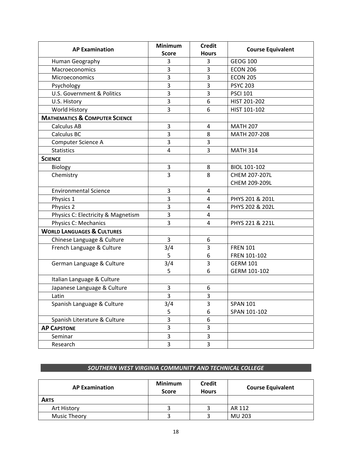| <b>AP Examination</b>                     | <b>Minimum</b> | <b>Credit</b>           |                          |
|-------------------------------------------|----------------|-------------------------|--------------------------|
|                                           | <b>Score</b>   | <b>Hours</b>            | <b>Course Equivalent</b> |
| Human Geography                           | 3              | 3                       | <b>GEOG 100</b>          |
| Macroeconomics                            | 3              | $\overline{3}$          | <b>ECON 206</b>          |
| Microeconomics                            | 3              | 3                       | <b>ECON 205</b>          |
| Psychology                                | 3              | 3                       | <b>PSYC 203</b>          |
| U.S. Government & Politics                | 3              | 3                       | <b>PSCI 101</b>          |
| U.S. History                              | 3              | 6                       | HIST 201-202             |
| World History                             | 3              | 6                       | HIST 101-102             |
| <b>MATHEMATICS &amp; COMPUTER SCIENCE</b> |                |                         |                          |
| <b>Calculus AB</b>                        | 3              | $\overline{4}$          | <b>MATH 207</b>          |
| Calculus BC                               | 3              | 8                       | MATH 207-208             |
| Computer Science A                        | 3              | 3                       |                          |
| <b>Statistics</b>                         | $\overline{4}$ | 3                       | <b>MATH 314</b>          |
| <b>SCIENCE</b>                            |                |                         |                          |
| Biology                                   | $\mathsf 3$    | 8                       | BIOL 101-102             |
| Chemistry                                 | 3              | 8                       | CHEM 207-207L            |
|                                           |                |                         | CHEM 209-209L            |
| <b>Environmental Science</b>              | 3              | 4                       |                          |
| Physics 1                                 | 3              | $\overline{4}$          | PHYS 201 & 201L          |
| Physics 2                                 | 3              | $\overline{4}$          | PHYS 202 & 202L          |
| Physics C: Electricity & Magnetism        | 3              | $\overline{\mathbf{4}}$ |                          |
| Physics C: Mechanics                      | 3              | $\overline{4}$          | PHYS 221 & 221L          |
| <b>WORLD LANGUAGES &amp; CULTURES</b>     |                |                         |                          |
| Chinese Language & Culture                | 3              | 6                       |                          |
| French Language & Culture                 | 3/4            | 3                       | <b>FREN 101</b>          |
|                                           | 5              | 6                       | FREN 101-102             |
| German Language & Culture                 | 3/4            | 3                       | <b>GERM 101</b>          |
|                                           | 5              | 6                       | GERM 101-102             |
| Italian Language & Culture                |                |                         |                          |
| Japanese Language & Culture               | 3              | 6                       |                          |
| Latin                                     | 3              | 3                       |                          |
| Spanish Language & Culture                | 3/4            | 3                       | <b>SPAN 101</b>          |
|                                           | 5              | 6                       | SPAN 101-102             |
| Spanish Literature & Culture              | 3              | 6                       |                          |
| <b>AP CAPSTONE</b>                        | 3              | 3                       |                          |
| Seminar                                   | 3              | 3                       |                          |
| Research                                  | 3              | 3                       |                          |

#### *SOUTHERN WEST VIRGINIA COMMUNITY AND TECHNICAL COLLEGE*

| <b>AP Examination</b> | <b>Minimum</b><br><b>Score</b> | <b>Credit</b><br><b>Hours</b> | <b>Course Equivalent</b> |
|-----------------------|--------------------------------|-------------------------------|--------------------------|
| <b>ARTS</b>           |                                |                               |                          |
| Art History           |                                |                               | AR 112                   |
| Music Theory          |                                |                               | MU 203                   |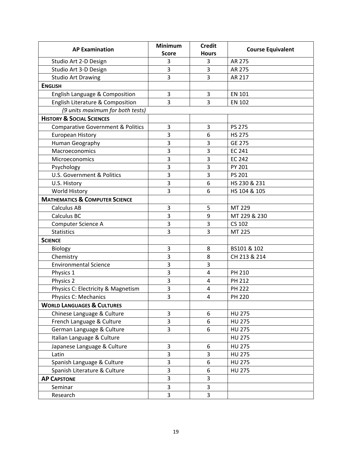| <b>AP Examination</b>                        | <b>Minimum</b>               | <b>Credit</b>           |                          |
|----------------------------------------------|------------------------------|-------------------------|--------------------------|
|                                              | <b>Hours</b><br><b>Score</b> |                         | <b>Course Equivalent</b> |
| Studio Art 2-D Design                        | 3                            | 3                       | AR 275                   |
| Studio Art 3-D Design                        | 3                            | 3                       | AR 275                   |
| <b>Studio Art Drawing</b>                    | 3                            | 3                       | AR 217                   |
| <b>ENGLISH</b>                               |                              |                         |                          |
| English Language & Composition               | 3                            | 3                       | <b>EN 101</b>            |
| English Literature & Composition             | 3                            | 3                       | <b>EN 102</b>            |
| (9 units maximum for both tests)             |                              |                         |                          |
| <b>HISTORY &amp; SOCIAL SCIENCES</b>         |                              |                         |                          |
| <b>Comparative Government &amp; Politics</b> | 3                            | 3                       | <b>PS 275</b>            |
| <b>European History</b>                      | 3                            | 6                       | <b>HS 275</b>            |
| Human Geography                              | 3                            | 3                       | <b>GE 275</b>            |
| Macroeconomics                               | 3                            | 3                       | <b>EC 241</b>            |
| Microeconomics                               | 3                            | $\overline{\mathbf{3}}$ | <b>EC 242</b>            |
| Psychology                                   | 3                            | 3                       | PY 201                   |
| U.S. Government & Politics                   | 3                            | 3                       | PS 201                   |
| U.S. History                                 | 3                            | 6                       | HS 230 & 231             |
| World History                                | 3                            | 6                       | HS 104 & 105             |
| <b>MATHEMATICS &amp; COMPUTER SCIENCE</b>    |                              |                         |                          |
| Calculus AB                                  | 3                            | 5                       | MT 229                   |
| Calculus BC                                  | 3                            | 9                       | MT 229 & 230             |
| Computer Science A                           | 3                            | 3                       | <b>CS 102</b>            |
| <b>Statistics</b>                            | 3                            | 3                       | MT 225                   |
| <b>SCIENCE</b>                               |                              |                         |                          |
| Biology                                      | 3                            | 8                       | BS101 & 102              |
| Chemistry                                    | 3                            | 8                       | CH 213 & 214             |
| <b>Environmental Science</b>                 | 3                            | 3                       |                          |
| Physics 1                                    | 3                            | $\overline{4}$          | PH 210                   |
| Physics 2                                    | 3                            | $\overline{4}$          | PH 212                   |
| Physics C: Electricity & Magnetism           | 3                            | 4                       | <b>PH 222</b>            |
| <b>Physics C: Mechanics</b>                  | 3                            | $\overline{4}$          | <b>PH 220</b>            |
| <b>WORLD LANGUAGES &amp; CULTURES</b>        |                              |                         |                          |
| Chinese Language & Culture                   | 3                            | 6                       | <b>HU 275</b>            |
| French Language & Culture                    | 3                            | 6                       | <b>HU 275</b>            |
| German Language & Culture                    | 3                            | 6                       | <b>HU 275</b>            |
| Italian Language & Culture                   |                              |                         | <b>HU 275</b>            |
| Japanese Language & Culture                  | 3                            | 6                       | <b>HU 275</b>            |
| Latin                                        | 3                            | 3                       | <b>HU 275</b>            |
| Spanish Language & Culture                   | 3                            | 6                       | <b>HU 275</b>            |
| Spanish Literature & Culture                 | 3                            | 6                       | <b>HU 275</b>            |
| <b>AP CAPSTONE</b>                           | 3                            | 3                       |                          |
| Seminar                                      | 3                            | 3                       |                          |
| Research                                     | 3                            | 3                       |                          |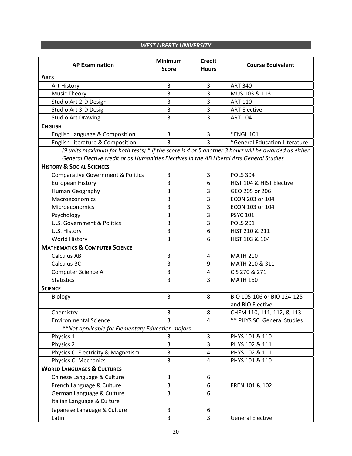#### *WEST LIBERTY UNIVERSITY*

| <b>AP Examination</b>                                                                               | <b>Minimum</b><br><b>Score</b> | <b>Credit</b><br><b>Hours</b> | <b>Course Equivalent</b>           |
|-----------------------------------------------------------------------------------------------------|--------------------------------|-------------------------------|------------------------------------|
| <b>ARTS</b>                                                                                         |                                |                               |                                    |
| Art History                                                                                         | 3                              | 3                             | <b>ART 340</b>                     |
| <b>Music Theory</b>                                                                                 | 3                              | 3                             | MUS 103 & 113                      |
| Studio Art 2-D Design                                                                               | 3                              | 3                             | <b>ART 110</b>                     |
| Studio Art 3-D Design                                                                               | 3                              | 3                             | <b>ART Elective</b>                |
| <b>Studio Art Drawing</b>                                                                           | 3                              | 3                             | <b>ART 104</b>                     |
| <b>ENGLISH</b>                                                                                      |                                |                               |                                    |
| English Language & Composition                                                                      | 3                              | $\mathbf{3}$                  | *ENGL 101                          |
| English Literature & Composition                                                                    | 3                              | 3                             | *General Education Literature      |
| (9 units maximum for both tests) * If the score is 4 or 5 another 3 hours will be awarded as either |                                |                               |                                    |
| General Elective credit or as Humanities Electives in the AB Liberal Arts General Studies           |                                |                               |                                    |
| <b>HISTORY &amp; SOCIAL SCIENCES</b>                                                                |                                |                               |                                    |
| <b>Comparative Government &amp; Politics</b>                                                        | 3                              | 3                             | <b>POLS 304</b>                    |
| <b>European History</b>                                                                             | 3                              | 6                             | HIST 104 & HIST Elective           |
| Human Geography                                                                                     | 3                              | 3                             | GEO 205 or 206                     |
| Macroeconomics                                                                                      | 3                              | 3                             | ECON 203 or 104                    |
| Microeconomics                                                                                      | 3                              | 3                             | ECON 103 or 104                    |
| Psychology                                                                                          | 3                              | 3                             | <b>PSYC 101</b>                    |
| U.S. Government & Politics                                                                          | 3                              | 3                             | <b>POLS 201</b>                    |
| U.S. History                                                                                        | 3                              | 6                             | HIST 210 & 211                     |
| World History                                                                                       | 3                              | 6                             | HIST 103 & 104                     |
| <b>MATHEMATICS &amp; COMPUTER SCIENCE</b>                                                           |                                |                               |                                    |
| Calculus AB                                                                                         | 3                              | 4                             | <b>MATH 210</b>                    |
| Calculus BC                                                                                         | $\overline{3}$                 | 9                             | MATH 210 & 311                     |
| Computer Science A                                                                                  | 3                              | $\overline{\mathbf{4}}$       | CIS 270 & 271                      |
| <b>Statistics</b>                                                                                   | 3                              | 3                             | <b>MATH 160</b>                    |
| <b>SCIENCE</b>                                                                                      |                                |                               |                                    |
| Biology                                                                                             | $\overline{3}$                 | 8                             | BIO 105-106 or BIO 124-125         |
|                                                                                                     |                                |                               | and BIO Elective                   |
| Chemistry                                                                                           | 3                              | 8                             | CHEM 110, 111, 112, & 113          |
| <b>Environmental Science</b>                                                                        | 3                              | 4                             | <b>** PHYS SCI General Studies</b> |
| **Not applicable for Elementary Education majors.                                                   |                                |                               |                                    |
| Physics 1                                                                                           | 3                              | 3                             | PHYS 101 & 110                     |
| Physics 2                                                                                           | 3                              | 3                             | PHYS 102 & 111                     |
| Physics C: Electricity & Magnetism                                                                  | 3                              | 4                             | PHYS 102 & 111                     |
| Physics C: Mechanics                                                                                | 3                              | $\overline{\mathbf{4}}$       | PHYS 101 & 110                     |
| <b>WORLD LANGUAGES &amp; CULTURES</b>                                                               |                                |                               |                                    |
| Chinese Language & Culture                                                                          | 3                              | 6                             |                                    |
| French Language & Culture                                                                           | 3                              | 6                             | FREN 101 & 102                     |
| German Language & Culture                                                                           | 3                              | 6                             |                                    |
| Italian Language & Culture                                                                          |                                |                               |                                    |
| Japanese Language & Culture                                                                         | 3                              | 6                             |                                    |
| Latin                                                                                               | 3                              | 3                             | <b>General Elective</b>            |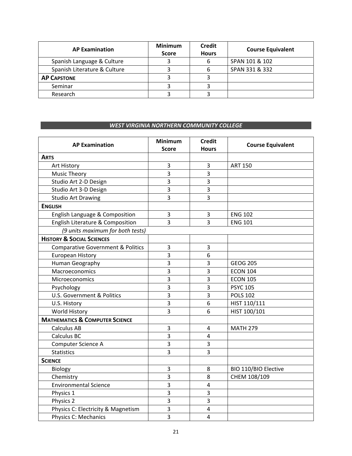| <b>AP Examination</b>        | <b>Minimum</b><br><b>Score</b> | <b>Credit</b><br><b>Hours</b> | <b>Course Equivalent</b> |
|------------------------------|--------------------------------|-------------------------------|--------------------------|
| Spanish Language & Culture   |                                | b                             | SPAN 101 & 102           |
| Spanish Literature & Culture |                                | 6                             | SPAN 331 & 332           |
| <b>AP CAPSTONE</b>           |                                |                               |                          |
| Seminar                      |                                |                               |                          |
| Research                     |                                |                               |                          |

#### *WEST VIRGINIA NORTHERN COMMUNITY COLLEGE*

| <b>AP Examination</b>                        | <b>Minimum</b><br><b>Score</b> | <b>Credit</b><br><b>Hours</b> | <b>Course Equivalent</b> |
|----------------------------------------------|--------------------------------|-------------------------------|--------------------------|
| <b>ARTS</b>                                  |                                |                               |                          |
| Art History                                  | 3                              | 3                             | <b>ART 150</b>           |
| <b>Music Theory</b>                          | $\overline{3}$                 | 3                             |                          |
| Studio Art 2-D Design                        | $\overline{3}$                 | 3                             |                          |
| Studio Art 3-D Design                        | $\overline{3}$                 | 3                             |                          |
| <b>Studio Art Drawing</b>                    | $\overline{3}$                 | $\overline{3}$                |                          |
| <b>ENGLISH</b>                               |                                |                               |                          |
| English Language & Composition               | $\overline{3}$                 | 3                             | <b>ENG 102</b>           |
| English Literature & Composition             | $\overline{3}$                 | 3                             | <b>ENG 101</b>           |
| (9 units maximum for both tests)             |                                |                               |                          |
| <b>HISTORY &amp; SOCIAL SCIENCES</b>         |                                |                               |                          |
| <b>Comparative Government &amp; Politics</b> | $\mathbf{3}$                   | $\mathsf 3$                   |                          |
| <b>European History</b>                      | 3                              | $6\,$                         |                          |
| Human Geography                              | 3                              | 3                             | <b>GEOG 205</b>          |
| Macroeconomics                               | 3                              | 3                             | <b>ECON 104</b>          |
| Microeconomics                               | $\overline{3}$                 | 3                             | <b>ECON 105</b>          |
| Psychology                                   | 3                              | 3                             | <b>PSYC 105</b>          |
| U.S. Government & Politics                   | $\overline{3}$                 | $\overline{\mathbf{3}}$       | <b>POLS 102</b>          |
| U.S. History                                 | 3                              | 6                             | HIST 110/111             |
| World History                                | $\overline{3}$                 | 6                             | HIST 100/101             |
| <b>MATHEMATICS &amp; COMPUTER SCIENCE</b>    |                                |                               |                          |
| <b>Calculus AB</b>                           | 3                              | $\overline{4}$                | <b>MATH 279</b>          |
| <b>Calculus BC</b>                           | 3                              | 4                             |                          |
| <b>Computer Science A</b>                    | 3                              | $\mathsf 3$                   |                          |
| <b>Statistics</b>                            | 3                              | 3                             |                          |
| <b>SCIENCE</b>                               |                                |                               |                          |
| Biology                                      | 3                              | 8                             | BIO 110/BIO Elective     |
| Chemistry                                    | 3                              | 8                             | CHEM 108/109             |
| <b>Environmental Science</b>                 | $\overline{3}$                 | $\sqrt{4}$                    |                          |
| Physics 1                                    | 3                              | 3                             |                          |
| Physics 2                                    | 3                              | 3                             |                          |
| Physics C: Electricity & Magnetism           | 3                              | $\overline{4}$                |                          |
| <b>Physics C: Mechanics</b>                  | 3                              | $\overline{4}$                |                          |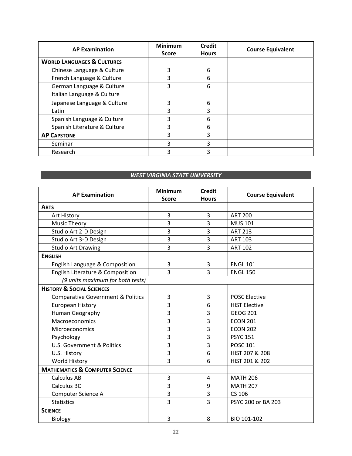| <b>AP Examination</b>                 | <b>Minimum</b><br><b>Score</b> | <b>Credit</b><br><b>Hours</b> | <b>Course Equivalent</b> |
|---------------------------------------|--------------------------------|-------------------------------|--------------------------|
| <b>WORLD LANGUAGES &amp; CULTURES</b> |                                |                               |                          |
| Chinese Language & Culture            | 3                              | 6                             |                          |
| French Language & Culture             | 3                              | 6                             |                          |
| German Language & Culture             | 3                              | 6                             |                          |
| Italian Language & Culture            |                                |                               |                          |
| Japanese Language & Culture           | 3                              | 6                             |                          |
| Latin                                 | 3                              | 3                             |                          |
| Spanish Language & Culture            | 3                              | 6                             |                          |
| Spanish Literature & Culture          | 3                              | 6                             |                          |
| <b>AP CAPSTONE</b>                    | 3                              | 3                             |                          |
| Seminar                               | 3                              | 3                             |                          |
| Research                              | 3                              | 3                             |                          |

### *WEST VIRGINIA STATE UNIVERSITY*

| <b>AP Examination</b>                        | <b>Minimum</b> | <b>Credit</b>           | <b>Course Equivalent</b> |
|----------------------------------------------|----------------|-------------------------|--------------------------|
|                                              | <b>Score</b>   | <b>Hours</b>            |                          |
| <b>ARTS</b>                                  |                |                         |                          |
| Art History                                  | 3              | 3                       | <b>ART 200</b>           |
| <b>Music Theory</b>                          | 3              | 3                       | <b>MUS 101</b>           |
| Studio Art 2-D Design                        | 3              | 3                       | <b>ART 213</b>           |
| Studio Art 3-D Design                        | 3              | 3                       | <b>ART 103</b>           |
| <b>Studio Art Drawing</b>                    | 3              | 3                       | <b>ART 102</b>           |
| <b>ENGLISH</b>                               |                |                         |                          |
| English Language & Composition               | 3              | 3                       | <b>ENGL 101</b>          |
| English Literature & Composition             | 3              | 3                       | <b>ENGL 150</b>          |
| (9 units maximum for both tests)             |                |                         |                          |
| <b>HISTORY &amp; SOCIAL SCIENCES</b>         |                |                         |                          |
| <b>Comparative Government &amp; Politics</b> | 3              | 3                       | <b>POSC Elective</b>     |
| European History                             | 3              | 6                       | <b>HIST Elective</b>     |
| Human Geography                              | 3              | 3                       | <b>GEOG 201</b>          |
| Macroeconomics                               | 3              | 3                       | <b>ECON 201</b>          |
| Microeconomics                               | 3              | 3                       | <b>ECON 202</b>          |
| Psychology                                   | 3              | 3                       | <b>PSYC 151</b>          |
| U.S. Government & Politics                   | 3              | 3                       | <b>POSC 101</b>          |
| U.S. History                                 | 3              | 6                       | HIST 207 & 208           |
| World History                                | 3              | 6                       | HIST 201 & 202           |
| <b>MATHEMATICS &amp; COMPUTER SCIENCE</b>    |                |                         |                          |
| <b>Calculus AB</b>                           | 3              | $\overline{\mathbf{4}}$ | <b>MATH 206</b>          |
| Calculus BC                                  | 3              | 9                       | <b>MATH 207</b>          |
| Computer Science A                           | 3              | 3                       | CS 106                   |
| <b>Statistics</b>                            | 3              | 3                       | PSYC 200 or BA 203       |
| <b>SCIENCE</b>                               |                |                         |                          |
| Biology                                      | 3              | 8                       | BIO 101-102              |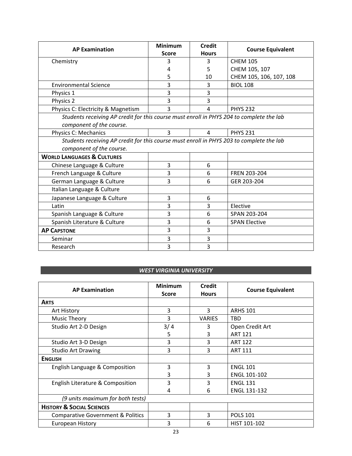| <b>AP Examination</b>                                                                    | <b>Minimum</b> | <b>Credit</b>  | <b>Course Equivalent</b> |
|------------------------------------------------------------------------------------------|----------------|----------------|--------------------------|
|                                                                                          | <b>Score</b>   | <b>Hours</b>   |                          |
| Chemistry                                                                                | ੨              | 3              | <b>CHEM 105</b>          |
|                                                                                          | 4              | 5              | CHEM 105, 107            |
|                                                                                          | 5              | 10             | CHEM 105, 106, 107, 108  |
| <b>Environmental Science</b>                                                             | 3              | 3              | <b>BIOL 108</b>          |
| Physics 1                                                                                | 3              | 3              |                          |
| Physics 2                                                                                | 3              | 3              |                          |
| Physics C: Electricity & Magnetism                                                       | 3              | 4              | <b>PHYS 232</b>          |
| Students receiving AP credit for this course must enroll in PHYS 204 to complete the lab |                |                |                          |
| component of the course.                                                                 |                |                |                          |
| Physics C: Mechanics                                                                     | 3              | $\overline{4}$ | <b>PHYS 231</b>          |
| Students receiving AP credit for this course must enroll in PHYS 203 to complete the lab |                |                |                          |
| component of the course.                                                                 |                |                |                          |
| <b>WORLD LANGUAGES &amp; CULTURES</b>                                                    |                |                |                          |
| Chinese Language & Culture                                                               | 3              | 6              |                          |
| French Language & Culture                                                                | 3              | 6              | FREN 203-204             |
| German Language & Culture                                                                | 3              | 6              | GER 203-204              |
| Italian Language & Culture                                                               |                |                |                          |
| Japanese Language & Culture                                                              | 3              | 6              |                          |
| Latin                                                                                    | 3              | 3              | Elective                 |
| Spanish Language & Culture                                                               | 3              | 6              | SPAN 203-204             |
| Spanish Literature & Culture                                                             | 3              | 6              | <b>SPAN Elective</b>     |
| <b>AP CAPSTONE</b>                                                                       | 3              | 3              |                          |
| Seminar                                                                                  | 3              | 3              |                          |
| Research                                                                                 | 3              | 3              |                          |

#### *WEST VIRGINIA UNIVERSITY*

| <b>AP Examination</b>                        | <b>Minimum</b><br><b>Score</b> | <b>Credit</b><br><b>Hours</b> | <b>Course Equivalent</b> |
|----------------------------------------------|--------------------------------|-------------------------------|--------------------------|
| <b>ARTS</b>                                  |                                |                               |                          |
| Art History                                  | 3                              | 3                             | <b>ARHS 101</b>          |
| <b>Music Theory</b>                          | 3                              | <b>VARIES</b>                 | TBD                      |
| Studio Art 2-D Design                        | 3/4                            | 3                             | Open Credit Art          |
|                                              | 5                              | 3                             | <b>ART 121</b>           |
| Studio Art 3-D Design                        | 3                              | 3                             | <b>ART 122</b>           |
| <b>Studio Art Drawing</b>                    | 3                              | 3                             | <b>ART 111</b>           |
| <b>ENGLISH</b>                               |                                |                               |                          |
| English Language & Composition               | 3                              | 3                             | <b>ENGL 101</b>          |
|                                              | 3                              | 3                             | <b>ENGL 101-102</b>      |
| English Literature & Composition             | 3                              | 3                             | <b>ENGL 131</b>          |
|                                              | 4                              | 6                             | ENGL 131-132             |
| (9 units maximum for both tests)             |                                |                               |                          |
| <b>HISTORY &amp; SOCIAL SCIENCES</b>         |                                |                               |                          |
| <b>Comparative Government &amp; Politics</b> | 3                              | 3                             | <b>POLS 101</b>          |
| <b>European History</b>                      | 3                              | 6                             | HIST 101-102             |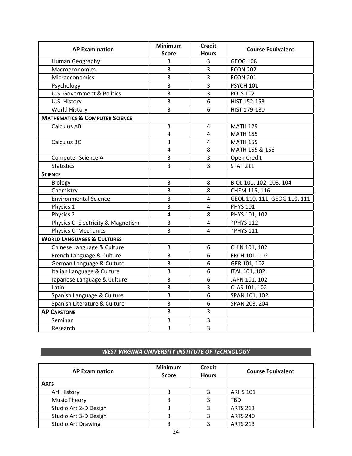|                                           | <b>Minimum</b>          | <b>Credit</b>  |                              |
|-------------------------------------------|-------------------------|----------------|------------------------------|
| <b>AP Examination</b>                     | <b>Score</b>            | <b>Hours</b>   | <b>Course Equivalent</b>     |
| Human Geography                           | 3                       | $\mathbf{3}$   | <b>GEOG 108</b>              |
| Macroeconomics                            | 3                       | 3              | <b>ECON 202</b>              |
| Microeconomics                            | 3                       | 3              | <b>ECON 201</b>              |
| Psychology                                | $\overline{3}$          | $\overline{3}$ | <b>PSYCH 101</b>             |
| <b>U.S. Government &amp; Politics</b>     | 3                       | 3              | <b>POLS 102</b>              |
| U.S. History                              | $\overline{3}$          | 6              | HIST 152-153                 |
| World History                             | $\overline{3}$          | 6              | HIST 179-180                 |
| <b>MATHEMATICS &amp; COMPUTER SCIENCE</b> |                         |                |                              |
| <b>Calculus AB</b>                        | $\overline{3}$          | 4              | <b>MATH 129</b>              |
|                                           | $\overline{\mathbf{4}}$ | $\overline{4}$ | <b>MATH 155</b>              |
| Calculus BC                               | 3                       | $\overline{4}$ | <b>MATH 155</b>              |
|                                           | 4                       | 8              | MATH 155 & 156               |
| Computer Science A                        | $\overline{3}$          | 3              | Open Credit                  |
| <b>Statistics</b>                         | $\overline{3}$          | $\overline{3}$ | <b>STAT 211</b>              |
| <b>SCIENCE</b>                            |                         |                |                              |
| Biology                                   | 3                       | 8              | BIOL 101, 102, 103, 104      |
| Chemistry                                 | 3                       | 8              | CHEM 115, 116                |
| <b>Environmental Science</b>              | 3                       | 4              | GEOL 110, 111, GEOG 110, 111 |
| Physics 1                                 | 3                       | $\overline{4}$ | <b>PHYS 101</b>              |
| Physics 2                                 | $\overline{4}$          | 8              | PHYS 101, 102                |
| Physics C: Electricity & Magnetism        | 3                       | $\pmb{4}$      | *PHYS 112                    |
| <b>Physics C: Mechanics</b>               | 3                       | 4              | *PHYS 111                    |
| <b>WORLD LANGUAGES &amp; CULTURES</b>     |                         |                |                              |
| Chinese Language & Culture                | 3                       | 6              | CHIN 101, 102                |
| French Language & Culture                 | 3                       | 6              | FRCH 101, 102                |
| German Language & Culture                 | 3                       | 6              | GER 101, 102                 |
| Italian Language & Culture                | 3                       | 6              | <b>ITAL 101, 102</b>         |
| Japanese Language & Culture               | 3                       | 6              | JAPN 101, 102                |
| Latin                                     | 3                       | $\overline{3}$ | CLAS 101, 102                |
| Spanish Language & Culture                | 3                       | 6              | SPAN 101, 102                |
| Spanish Literature & Culture              | 3                       | 6              | SPAN 203, 204                |
| <b>AP CAPSTONE</b>                        | 3                       | 3              |                              |
| Seminar                                   | 3                       | 3              |                              |
| Research                                  | $\overline{3}$          | $\overline{3}$ |                              |

#### *WEST VIRGINIA UNIVERSITY INSTITUTE OF TECHNOLOGY*

| <b>AP Examination</b>     | <b>Minimum</b><br><b>Score</b> | <b>Credit</b><br><b>Hours</b> | <b>Course Equivalent</b> |
|---------------------------|--------------------------------|-------------------------------|--------------------------|
| <b>ARTS</b>               |                                |                               |                          |
| Art History               |                                |                               | <b>ARHS 101</b>          |
| <b>Music Theory</b>       |                                |                               | TBD                      |
| Studio Art 2-D Design     |                                |                               | <b>ARTS 213</b>          |
| Studio Art 3-D Design     |                                |                               | <b>ARTS 240</b>          |
| <b>Studio Art Drawing</b> |                                |                               | <b>ARTS 213</b>          |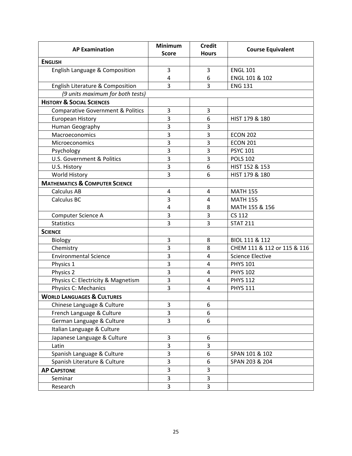| <b>AP Examination</b>                        | Minimum        | <b>Credit</b>  | <b>Course Equivalent</b>    |
|----------------------------------------------|----------------|----------------|-----------------------------|
|                                              | <b>Score</b>   | <b>Hours</b>   |                             |
| <b>ENGLISH</b>                               |                |                |                             |
| English Language & Composition               | 3              | 3              | <b>ENGL 101</b>             |
|                                              | $\overline{4}$ | 6              | ENGL 101 & 102              |
| English Literature & Composition             | 3              | 3              | <b>ENG 131</b>              |
| (9 units maximum for both tests)             |                |                |                             |
| <b>HISTORY &amp; SOCIAL SCIENCES</b>         |                |                |                             |
| <b>Comparative Government &amp; Politics</b> | 3              | 3              |                             |
| <b>European History</b>                      | 3              | 6              | HIST 179 & 180              |
| Human Geography                              | 3              | 3              |                             |
| Macroeconomics                               | 3              | 3              | <b>ECON 202</b>             |
| Microeconomics                               | 3              | 3              | <b>ECON 201</b>             |
| Psychology                                   | 3              | 3              | <b>PSYC 101</b>             |
| U.S. Government & Politics                   | 3              | 3              | <b>POLS 102</b>             |
| U.S. History                                 | 3              | 6              | HIST 152 & 153              |
| World History                                | 3              | 6              | HIST 179 & 180              |
| <b>MATHEMATICS &amp; COMPUTER SCIENCE</b>    |                |                |                             |
| <b>Calculus AB</b>                           | $\overline{a}$ | $\overline{4}$ | <b>MATH 155</b>             |
| <b>Calculus BC</b>                           | 3              | 4              | <b>MATH 155</b>             |
|                                              | $\overline{4}$ | 8              | MATH 155 & 156              |
| Computer Science A                           | 3              | 3              | <b>CS 112</b>               |
| <b>Statistics</b>                            | 3              | 3              | <b>STAT 211</b>             |
| <b>SCIENCE</b>                               |                |                |                             |
| Biology                                      | 3              | 8              | BIOL 111 & 112              |
| Chemistry                                    | 3              | 8              | CHEM 111 & 112 or 115 & 116 |
| <b>Environmental Science</b>                 | 3              | $\overline{4}$ | <b>Science Elective</b>     |
| Physics 1                                    | 3              | 4              | <b>PHYS 101</b>             |
| Physics 2                                    | 3              | $\overline{4}$ | <b>PHYS 102</b>             |
| Physics C: Electricity & Magnetism           | 3              | $\overline{4}$ | <b>PHYS 112</b>             |
| Physics C: Mechanics                         | 3              | 4              | <b>PHYS 111</b>             |
| <b>WORLD LANGUAGES &amp; CULTURES</b>        |                |                |                             |
| Chinese Language & Culture                   | 3              | 6              |                             |
| French Language & Culture                    | 3              | 6              |                             |
| German Language & Culture                    | 3              | 6              |                             |
| Italian Language & Culture                   |                |                |                             |
| Japanese Language & Culture                  | 3              | 6              |                             |
| Latin                                        | $\overline{3}$ | 3              |                             |
| Spanish Language & Culture                   | 3              | 6              | SPAN 101 & 102              |
| Spanish Literature & Culture                 | 3              | 6              | SPAN 203 & 204              |
| <b>AP CAPSTONE</b>                           | $\overline{3}$ | 3              |                             |
| Seminar                                      | 3              | 3              |                             |
| Research                                     | 3              | 3              |                             |
|                                              |                |                |                             |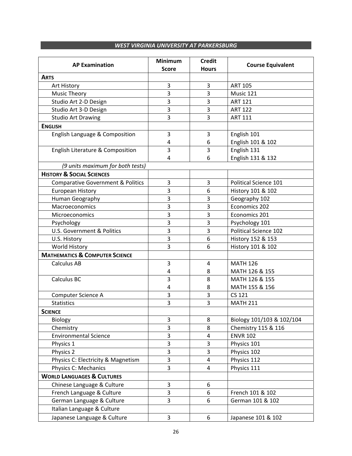#### *WEST VIRGINIA UNIVERSITY AT PARKERSBURG*

| <b>AP Examination</b>                        | <b>Minimum</b><br><b>Score</b> | <b>Credit</b><br><b>Hours</b> | <b>Course Equivalent</b>     |
|----------------------------------------------|--------------------------------|-------------------------------|------------------------------|
| <b>ARTS</b>                                  |                                |                               |                              |
| Art History                                  | 3                              | 3                             | <b>ART 105</b>               |
| <b>Music Theory</b>                          | 3                              | 3                             | Music 121                    |
| Studio Art 2-D Design                        | 3                              | 3                             | <b>ART 121</b>               |
| Studio Art 3-D Design                        | 3                              | 3                             | <b>ART 122</b>               |
| <b>Studio Art Drawing</b>                    | 3                              | 3                             | <b>ART 111</b>               |
| <b>ENGLISH</b>                               |                                |                               |                              |
| English Language & Composition               | 3                              | 3                             | English 101                  |
|                                              | 4                              | 6                             | English 101 & 102            |
| English Literature & Composition             | 3                              | 3                             | English 131                  |
|                                              | 4                              | 6                             | English 131 & 132            |
| (9 units maximum for both tests)             |                                |                               |                              |
| <b>HISTORY &amp; SOCIAL SCIENCES</b>         |                                |                               |                              |
| <b>Comparative Government &amp; Politics</b> | 3                              | 3                             | Political Science 101        |
| <b>European History</b>                      | 3                              | 6                             | History 101 & 102            |
| Human Geography                              | 3                              | 3                             | Geography 102                |
| Macroeconomics                               | 3                              | 3                             | Economics 202                |
| Microeconomics                               | 3                              | 3                             | Economics 201                |
| Psychology                                   | 3                              | 3                             | Psychology 101               |
| U.S. Government & Politics                   | 3                              | 3                             | <b>Political Science 102</b> |
| U.S. History                                 | 3                              | 6                             | History 152 & 153            |
| World History                                | 3                              | 6                             | History 101 & 102            |
| <b>MATHEMATICS &amp; COMPUTER SCIENCE</b>    |                                |                               |                              |
| <b>Calculus AB</b>                           | 3                              | 4                             | <b>MATH 126</b>              |
|                                              | 4                              | 8                             | MATH 126 & 155               |
| Calculus BC                                  | 3                              | 8                             | MATH 126 & 155               |
|                                              | 4                              | 8                             | MATH 155 & 156               |
| Computer Science A                           | 3                              | 3                             | <b>CS 121</b>                |
| <b>Statistics</b>                            | 3                              | 3                             | <b>MATH 211</b>              |
| <b>SCIENCE</b>                               |                                |                               |                              |
| Biology                                      | 3                              | 8                             | Biology 101/103 & 102/104    |
| Chemistry                                    | 3                              | 8                             | Chemistry 115 & 116          |
| <b>Environmental Science</b>                 | 3                              | $\overline{4}$                | <b>ENVR 102</b>              |
| Physics 1                                    | 3                              | $\mathbf{3}$                  | Physics 101                  |
| Physics 2                                    | 3                              | 3                             | Physics 102                  |
| Physics C: Electricity & Magnetism           | 3                              | $\overline{4}$                | Physics 112                  |
| <b>Physics C: Mechanics</b>                  | $\overline{3}$                 | 4                             | Physics 111                  |
| <b>WORLD LANGUAGES &amp; CULTURES</b>        |                                |                               |                              |
| Chinese Language & Culture                   | 3                              | 6                             |                              |
| French Language & Culture                    | 3                              | 6                             | French 101 & 102             |
| German Language & Culture                    | 3                              | 6                             | German 101 & 102             |
| Italian Language & Culture                   |                                |                               |                              |
| Japanese Language & Culture                  | 3                              | 6                             | Japanese 101 & 102           |